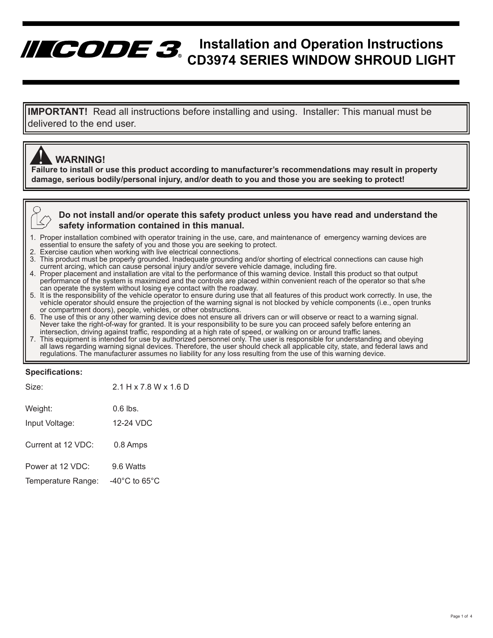# **Installation and Operation Instructions CD3974 SERIES WINDOW SHROUD LIGHT**

**IMPORTANT!** Read all instructions before installing and using. Installer: This manual must be delivered to the end user.

## **WARNING!**

**Failure to install or use this product according to manufacturer's recommendations may result in property**<br>Failure to install or use this product according to manufacturer's recommendations may result in property **damage, serious bodily/personal injury, and/or death to you and those you are seeking to protect!**

**Do not install and/or operate this safety product unless you have read and understand the safety information contained in this manual.**

- 1. Proper installation combined with operator training in the use, care, and maintenance of emergency warning devices are essential to ensure the safety of you and those you are seeking to protect.<br>2. Exercise caution when working with live electrical connections
- 
- 2. Exercise caution when working with live electrical connections.<br>3. This product must be properly grounded. Inadequate grounding and/or shorting of electrical connections can cause high 3. This product must be properly grounded. Inadequate grounding and/or shorting of electrical connections can cause high current arcing, which can cause personal injury and/or severe vehicle damage, including fire.
- 4. Proper placement and installation are vital to the performance of this warning device. Install this product so that output performance of the system is maximized and the controls are placed within convenient reach of the operator so that s/he can operate the system without losing eye contact with the roadway.<br>5. It is the responsibility of the
- vehicle operator should ensure the projection of the warning signal is not blocked by vehicle components (i.e., open trunks or compartment doors), people, vehicles, or other obstructions.
- 6. The use of this or any other warning device does not ensure all drivers can or will observe or react to a warning signal.<br>Never take the right-of-way for granted. It is your responsibility to be sure you can proceed saf intersection, driving against traffic, responding at a high rate of speed, or walking on or around traffic lanes.
- 7. This equipment is intended for use by authorized personnel only. The user is responsible for understanding and obeying requlations. The manufacturer assumes no liability for any loss resulting from the use of this warning device.

#### **Specifications:**

| Size:                                  | $2.1$ H x 7.8 W x 1.6 D                          |
|----------------------------------------|--------------------------------------------------|
| Weight:<br>Input Voltage:              | $0.6$ lbs.<br>12-24 VDC                          |
| Current at 12 VDC:                     | 0.8 Amps                                         |
| Power at 12 VDC:<br>Temperature Range: | 9.6 Watts<br>-40 $^{\circ}$ C to 65 $^{\circ}$ C |
|                                        |                                                  |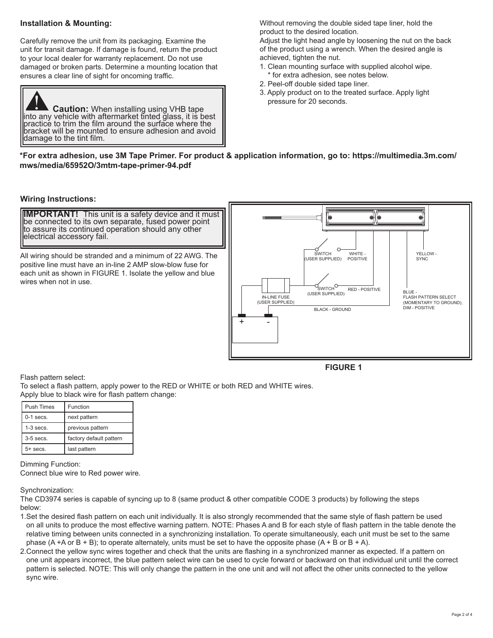#### **Installation & Mounting:**

Carefully remove the unit from its packaging. Examine the unit for transit damage. If damage is found, return the product to your local dealer for warranty replacement. Do not use damaged or broken parts. Determine a mounting location that ensures a clear line of sight for oncoming traffic.



Without removing the double sided tape liner, hold the product to the desired location.

Adjust the light head angle by loosening the nut on the back of the product using a wrench. When the desired angle is achieved, tighten the nut.

- 1. Clean mounting surface with supplied alcohol wipe. \* for extra adhesion, see notes below.
- 2. Peel-off double sided tape liner.
- 3. Apply product on to the treated surface. Apply light pressure for 20 seconds.

#### **\*For extra adhesion, use 3M Tape Primer. For product & application information, go to: https://multimedia.3m.com/ mws/media/65952O/3mtm-tape-primer-94.pdf**

#### **Wiring Instructions:**

**IMPORTANT!** This unit is a safety device and it must be connected to its own separate, fused power point to assure its continued operation should any other electrical accessory fail.

All wiring should be stranded and a minimum of 22 AWG. The positive line must have an in-line 2 AMP slow-blow fuse for each unit as shown in FIGURE 1. Isolate the yellow and blue wires when not in use.



Flash pattern select: To select a flash pattern, apply power to the RED or WHITE or both RED and WHITE wires. Apply blue to black wire for flash pattern change:

| <b>Push Times</b> | Function                |
|-------------------|-------------------------|
| $0-1$ secs.       | next pattern            |
| $1-3$ secs.       | previous pattern        |
| $3-5$ secs.       | factory default pattern |
| $5+$ secs.        | last pattern            |

Dimming Function: Connect blue wire to Red power wire.

Synchronization:

The CD3974 series is capable of syncing up to 8 (same product & other compatible CODE 3 products) by following the steps below:

- 1.Set the desired flash pattern on each unit individually. It is also strongly recommended that the same style of flash pattern be used on all units to produce the most effective warning pattern. NOTE: Phases A and B for each style of flash pattern in the table denote the relative timing between units connected in a synchronizing installation. To operate simultaneously, each unit must be set to the same phase  $(A + A \text{ or } B + B)$ ; to operate alternately, units must be set to have the opposite phase  $(A + B \text{ or } B + A)$ .
- 2.Connect the yellow sync wires together and check that the units are flashing in a synchronized manner as expected. If a pattern on one unit appears incorrect, the blue pattern select wire can be used to cycle forward or backward on that individual unit until the correct pattern is selected. NOTE: This will only change the pattern in the one unit and will not affect the other units connected to the yellow sync wire.

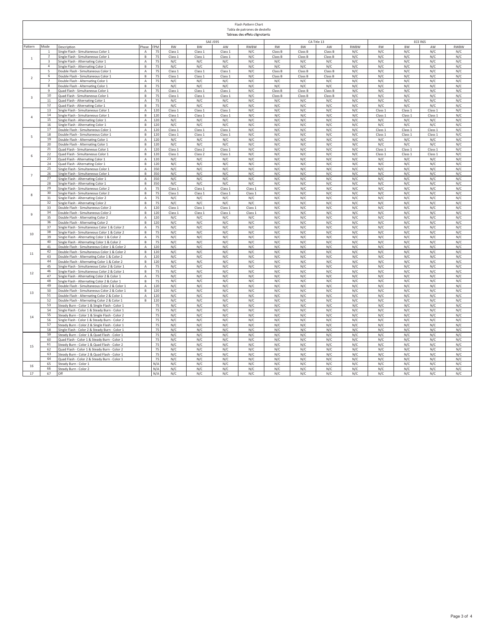| <b>SAE J595</b><br>CA Title 13<br>ECE R65<br>Pattern<br>Mode<br>Phase<br>FPM<br><b>RW</b><br><b>BW</b><br>RWBW<br><b>RW</b><br><b>BW</b><br>RWBW<br><b>RW</b><br><b>BW</b><br>RWBW<br>Description<br>AW<br>AW<br>AW<br>75<br>ingle Flash - Simultaneous Color 1<br>$\mathsf A$<br>Class 1<br>Class 1<br>Class 1<br>N/C<br>Class B<br>Class B<br>Class B<br>N/C<br>N/C<br>N/C<br>N/C<br>N/C<br>75<br>$\overline{2}$<br>ingle Flash - Simultaneous Color 1<br>В<br>Class 1<br>Class 1<br>Class 1<br>N/C<br>Class B<br>Class B<br>Class B<br>N/C<br>N/C<br>N/C<br>N/C<br>N/C<br>$\mathbf{1}$<br>3<br>ingle Flash - Alternating Color 1<br>А<br>75<br>N/C<br>N/C<br>N/C<br>N/C<br>N/C<br>N/C<br>N/C<br>N/C<br>N/C<br>N/C<br>N/C<br>N/C<br>$\overline{4}$<br>B<br>75<br>N/C<br>N/C<br>N/C<br>N/C<br>N/C<br>N/C<br>N/C<br>N/C<br>N/C<br>N/C<br>N/C<br>N/C<br>Single Flash - Alternating Color 1<br>Double Flash - Simultaneous Color 1<br>$\mathsf A$<br>75<br>Class <sub>1</sub><br>Class 1<br>Class 1<br>N/C<br>Class B<br>Class B<br>Class B<br>N/C<br>N/C<br>N/C<br>N/C<br>N/C<br>$\overline{5}$<br>75<br>$\mathsf B$<br>Class 1<br>Class 1<br>N/C<br>Class B<br>Class B<br>N/C<br>N/C<br>N/C<br>N/C<br>N/C<br>6<br>Double Flash - Simultaneous Color 1<br>Class 1<br>Class B<br>$\overline{2}$<br>$\mathbb A$<br>75<br>$\overline{7}$<br>N/C<br>N/C<br>N/C<br>N/C<br>N/C<br>N/C<br>N/C<br>N/C<br>N/C<br>N/C<br>N/C<br>N/C<br>Double Flash - Alternating Color 1<br>$\mathsf B$<br>75<br>8<br>N/C<br>N/C<br>N/C<br>N/C<br>N/C<br>N/C<br>N/C<br>Double Flash - Alternating Color 1<br>N/C<br>N/C<br>N/C<br>N/C<br>N/C<br>75<br>А<br>9<br>Quad Flash - Simultaneous Color 1<br>Class 1<br>Class 1<br>Class 1<br>N/C<br>Class B<br>Class B<br>Class B<br>N/C<br>N/C<br>N/C<br>N/C<br>N/C<br>10<br>$\,$ B<br>75<br>Quad Flash - Simultaneous Color 1<br>Class 1<br>Class 1<br>Class 1<br>N/C<br>Class B<br>Class B<br>Class B<br>N/C<br>N/C<br>N/C<br>N/C<br>N/C<br>$\overline{3}$<br>$11\,$<br>Quad Flash - Alternating Color 1<br>А<br>75<br>N/C<br>N/C<br>N/C<br>N/C<br>N/C<br>N/C<br>N/C<br>N/C<br>N/C<br>N/C<br>N/C<br>N/C<br>12<br>Quad Flash - Alternating Color 1<br>В<br>75<br>N/C<br>N/C<br>N/C<br>N/C<br>N/C<br>N/C<br>N/C<br>N/C<br>N/C<br>N/C<br>N/C<br>N/C<br>13<br>ingle Flash - Simultaneous Color 1<br>$\mathbb A$<br>120<br>Class 1<br>Class 1<br>Class 1<br>N/C<br>N/C<br>N/C<br>N/C<br>N/C<br>Class 1<br>Class 1<br>Class 1<br>N/C<br>14<br>ingle Flash - Simultaneous Color 1<br>B<br>120<br>Class <sub>1</sub><br>Class 1<br>Class 1<br>N/C<br>N/C<br>N/C<br>N/C<br>N/C<br>Class 1<br>Class 1<br>Class 1<br>N/C<br>$\overline{4}$<br>15<br>$\overline{A}$<br>120<br>N/C<br>N/C<br>N/C<br>N/C<br>N/C<br>N/C<br>N/C<br>N/C<br>N/C<br>N/C<br>N/C<br>N/C<br>Single Flash - Alternating Color 1<br>16<br>$\mathsf{B}$<br>120<br>N/C<br>N/C<br>N/C<br>N/C<br>N/C<br>N/C<br>N/C<br>N/C<br>N/C<br>N/C<br>N/C<br>N/C<br>Single Flash - Alternating Color 1<br>17<br>$\mathsf A$<br>120<br>N/C<br>N/C<br>N/C<br>N/C<br>N/C<br>N/C<br>Double Flash - Simultaneous Color 1<br>Class 1<br>Class 1<br>Class 1<br>Class 1<br>Class 1<br>Class 1<br>$\,$ B<br>120<br>N/C<br>N/C<br>N/C<br>N/C<br>N/C<br>N/C<br>18<br>Double Flash - Simultaneous Color 1<br>Class 1<br>Class 1<br>Class 1<br>Class 1<br>Class 1<br>Class 1<br>5<br>19<br>$\mathsf A$<br>N/C<br>N/C<br>N/C<br>N/C<br>120<br>N/C<br>N/C<br>N/C<br>N/C<br>N/C<br>N/C<br>N/C<br>N/C<br>Double Flash - Alternating Color 1<br>$\,$ B<br>N/C<br>20<br>N/C<br>N/C<br>N/C<br>N/C<br>N/C<br>N/C<br>N/C<br>N/C<br>N/C<br>N/C<br>N/C<br>Double Flash - Alternating Color 1<br>120<br>21<br>$\mathsf A$<br>N/C<br>Quad Flash - Simultaneous Color 1<br>120<br>Class 1<br>Class <sub>2</sub><br>Class 1<br>N/C<br>N/C<br>N/C<br>N/C<br>Class 1<br>Class 1<br>Class 1<br>N/C<br>22<br>$\mathsf B$<br>120<br>Class <sub>2</sub><br>Class 1<br>N/C<br>N/C<br>N/C<br>N/C<br>N/C<br>Class 1<br>Class:<br>N/C<br>Quad Flash - Simultaneous Color 1<br>Class 1<br>Class 1<br>6<br>23<br>$\mathbb A$<br>N/C<br>120<br>N/C<br>N/C<br>N/C<br>N/C<br>N/C<br>N/C<br>N/C<br>N/C<br>N/C<br>N/C<br>N/C<br>Quad Flash - Alternating Color 1<br>$\mathsf B$<br>120<br>N/C<br>N/C<br>N/C<br>N/C<br>N/C<br>N/C<br>N/C<br>N/C<br>N/C<br>N/C<br>N/C<br>N/C<br>24<br>Quad Flash - Alternating Color 1<br>N/C<br>N/C<br>N/C<br>N/C<br>N/C<br>N/C<br>25<br>ingle Flash - Simultaneous Color 1<br>A<br>350<br>N/C<br>N/C<br>N/C<br>N/C<br>N/C<br>N/C<br>26<br>$\mathsf B$<br>350<br>N/C<br>N/C<br>N/C<br>N/C<br>N/C<br>N/C<br>N/C<br>N/C<br>N/C<br>N/C<br>N/C<br>N/C<br>Single Flash - Simultaneous Color 1<br>$\overline{7}$<br>27<br>350<br>N/C<br>N/C<br>N/C<br>N/C<br>N/C<br>Single Flash - Alternating Color 1<br>Α<br>N/C<br>N/C<br>N/C<br>N/C<br>N/C<br>N/C<br>N/C<br>28<br>$\mathsf B$<br>350<br>N/C<br>N/C<br>N/C<br>N/C<br>N/C<br>N/C<br>N/C<br>N/C<br>N/C<br>N/C<br>N/C<br>N/C<br>Single Flash - Alternating Color 1<br>29<br>N/C<br>$\mathsf A$<br>75<br>Class 1<br>Class 1<br>Class 1<br>Class 1<br>N/C<br>N/C<br>N/C<br>N/C<br>N/C<br>N/C<br>N/C<br>Single Flash - Simultaneous Color 2<br>30<br>$\mathsf B$<br>75<br>N/C<br>N/C<br>N/C<br>N/C<br>N/C<br>N/C<br>N/C<br>Single Flash - Simultaneous Color 2<br>Class 1<br>Class 1<br>Class 1<br>Class 1<br>N/C<br>8<br>75<br>N/C<br>31<br>Α<br>N/C<br>N/C<br>N/C<br>N/C<br>N/C<br>N/C<br>N/C<br>N/C<br>N/C<br>N/C<br>Single Flash - Alternating Color 2<br>N/C<br>32<br>Single Flash - Alternating Color 2<br>$\mathsf B$<br>75<br>N/C<br>N/C<br>N/C<br>N/C<br>N/C<br>N/C<br>N/C<br>N/C<br>N/C<br>N/C<br>N/C<br>N/C<br>33<br>Double Flash - Simultaneous Color 2<br>$\overline{A}$<br>120<br>Class 1<br>Class 1<br>N/C<br>N/C<br>N/C<br>N/C<br>N/C<br>N/C<br>N/C<br>N/C<br>Class 1<br>Class 1<br>34<br>120<br>N/C<br>N/C<br>N/C<br>N/C<br>Double Flash - Simultaneous Color 2<br>$\overline{B}$<br>Class 1<br>Class 1<br>Class 1<br>Class 1<br>N/C<br>N/C<br>N/C<br>N/C<br>$\mathbf{q}$<br>35<br>N/C<br>N/C<br>Double Flash - Alternating Color 2<br>$\overline{A}$<br>120<br>N/C<br>N/C<br>N/C<br>N/C<br>N/C<br>N/C<br>N/C<br>N/C<br>N/C<br>N/C<br>36<br>Double Flash - Alternating Color 2<br>$\mathbf{B}$<br>120<br>N/C<br>N/C<br>N/C<br>N/C<br>N/C<br>N/C<br>N/C<br>N/C<br>N/C<br>N/C<br>N/C<br>N/C<br>37<br>Single Flash - Simultaneous Color 1 & Color 2<br>A<br>75<br>N/C<br>N/C<br>N/C<br>N/C<br>N/C<br>N/C<br>N/C<br>N/C<br>N/C<br>N/C<br>N/C<br>N/C<br>38<br>Single Flash - Simultaneous Color 1 & Color 2<br>B<br>75<br>N/C<br>N/C<br>N/C<br>N/C<br>N/C<br>N/C<br>N/C<br>N/C<br>N/C<br>N/C<br>N/C<br>N/C<br>10<br>39<br>$\overline{A}$<br>75<br>N/C<br>N/C<br>N/C<br>N/C<br>N/C<br>N/C<br>N/C<br>N/C<br>N/C<br>N/C<br>N/C<br>N/C<br>Single Flash - Alternating Color 1 & Color 2<br>40<br>$\sf{B}$<br>75<br>N/C<br>N/C<br>N/C<br>N/C<br>N/C<br>N/C<br>N/C<br>N/C<br>N/C<br>N/C<br>N/C<br>N/C<br>Single Flash - Alternating Color 1 & Color 2<br>41<br>$\mathbb A$<br>120<br>N/C<br>N/C<br>N/C<br>N/C<br>N/C<br>N/C<br>N/C<br>N/C<br>N/C<br>N/C<br>N/C<br>N/C<br>Double Flash - Simultaneous Color 1 & Color 2<br>42<br>$\mathsf B$<br>N/C<br>N/C<br>N/C<br>N/C<br>N/C<br>N/C<br>N/C<br>N/C<br>N/C<br>120<br>N/C<br>N/C<br>N/C<br>Double Flash - Simultaneous Color 1 & Color 2<br>11<br>43<br>$\mathbb A$<br>N/C<br>N/C<br>120<br>N/C<br>N/C<br>N/C<br>N/C<br>N/C<br>N/C<br>N/C<br>N/C<br>N/C<br>N/C<br>Double Flash - Alternating Color 1 & Color 2<br>$\,$ B<br>N/C<br>44<br>Double Flash - Alternating Color 1 & Color 2<br>120<br>N/C<br>N/C<br>N/C<br>N/C<br>N/C<br>N/C<br>N/C<br>N/C<br>N/C<br>N/C<br>N/C<br>45<br>ingle Flash - Simultaneous Color 2 & Color 1<br>А<br>75<br>N/C<br>N/C<br>N/C<br>N/C<br>N/C<br>N/C<br>N/C<br>N/C<br>N/C<br>N/C<br>N/C<br>N/C<br>46<br>75<br>N/C<br>N/C<br>N/C<br>ingle Flash - Simultaneous Color 2 & Color 1<br>B<br>N/C<br>N/C<br>N/C<br>N/C<br>N/C<br>N/C<br>N/C<br>N/C<br>N/C<br>12<br>47<br>75<br>ingle Flash - Alternating Color 2 & Color 1<br>А<br>N/C<br>N/C<br>N/C<br>N/C<br>N/C<br>N/C<br>N/C<br>N/C<br>N/C<br>N/C<br>N/C<br>N/C<br>48<br>B<br>75<br>N/C<br>N/C<br>N/C<br>N/C<br>N/C<br>N/C<br>N/C<br>N/C<br>N/C<br>N/C<br>N/C<br>N/C<br>Single Flash - Alternating Color 2 & Color 1<br>49<br>$\mathsf A$<br>120<br>N/C<br>N/C<br>N/C<br>N/C<br>N/C<br>N/C<br>N/C<br>N/C<br>N/C<br>N/C<br>Double Elash - Simultaneous Color 2 & Color 1<br>N/C<br>N/C<br>50<br>$\mathsf B$<br>120<br>N/C<br>N/C<br>N/C<br>N/C<br>N/C<br>N/C<br>Double Flash - Simultaneous Color 2 & Color 1<br>N/C<br>N/C<br>N/C<br>N/C<br>N/C<br>N/C<br>13<br>$\mathsf A$<br>120<br>N/C<br>51<br>N/C<br>N/C<br>N/C<br>N/C<br>N/C<br>N/C<br>N/C<br>N/C<br>N/C<br>N/C<br>N/C<br>Double Flash - Alternating Color 2 & Color 1<br>52<br>$\mathsf B$<br>120<br>N/C<br>N/C<br>N/C<br>N/C<br>N/C<br>N/C<br>N/C<br>N/C<br>N/C<br>N/C<br>N/C<br>N/C<br>Double Flash - Alternating Color 2 & Color 1<br>53<br>Steady Burn - Color 1 & Single Flash - Color 1<br>75<br>N/C<br>N/C<br>N/C<br>N/C<br>N/C<br>N/C<br>N/C<br>N/C<br>N/C<br>N/C<br>N/C<br>N/C<br>54<br>75<br>Single Flash - Color 1 & Steady Burn - Color 1<br>N/C<br>N/C<br>N/C<br>N/C<br>N/C<br>N/C<br>N/C<br>N/C<br>N/C<br>N/C<br>N/C<br>N/C<br>55<br>75<br>Steady Burn - Color 1 & Single Flash - Color 2<br>N/C<br>N/C<br>N/C<br>N/C<br>N/C<br>N/C<br>N/C<br>N/C<br>N/C<br>N/C<br>N/C<br>N/C<br>14<br>56<br>Single Flash - Color 1 & Steady Burn - Color 2<br>75<br>N/C<br>N/C<br>N/C<br>N/C<br>N/C<br>N/C<br>N/C<br>N/C<br>N/C<br>N/C<br>N/C<br>N/C<br>57<br>Steady Burn - Color 2 & Single Flash - Color 1<br>75<br>N/C<br>N/C<br>N/C<br>N/C<br>N/C<br>N/C<br>N/C<br>N/C<br>N/C<br>N/C<br>N/C<br>N/C<br>N/C<br>N/C<br>N/C<br>58<br>Single Flash - Color 2 & Steady Burn - Color 1<br>75<br>N/C<br>N/C<br>N/C<br>N/C<br>N/C<br>N/C<br>N/C<br>N/C<br>N/C<br>59<br>Steady Burn - Color 1 & Quad Flash - Color 1<br>75<br>N/C<br>N/C<br>N/C<br>N/C<br>N/C<br>N/C<br>N/C<br>N/C<br>N/C<br>N/C<br>N/C<br>N/C<br>60<br>Quad Flash - Color 1 & Steady Burn - Color 1<br>75<br>N/C<br>N/C<br>N/C<br>N/C<br>N/C<br>N/C<br>N/C<br>N/C<br>N/C<br>N/C<br>N/C<br>N/C<br>61<br>teady Burn - Color 1 & Quad Flash - Color 2<br>75<br>N/C<br>N/C<br>N/C<br>N/C<br>N/C<br>N/C<br>N/C<br>N/C<br>N/C<br>N/C<br>N/C<br>N/C<br>15<br>62<br>75<br>N/C<br>N/C<br>N/C<br>N/C<br>N/C<br>N/C<br>N/C<br>N/C<br>N/C<br>N/C<br>N/C<br>N/C<br>Quad Flash - Color 1 & Steady Burn - Color 2<br>63<br>75<br>N/C<br>N/C<br>N/C<br>N/C<br>N/C<br>N/C<br>N/C<br>N/C<br>N/C<br>N/C<br>N/C<br>teady Burn - Color 2 & Quad Flash - Color :<br>N/C<br>75<br>N/C<br>N/C<br>64<br>Quad Flash - Color 2 & Steady Burn - Color 1<br>N/C<br>N/C<br>N/C<br>N/C<br>N/C<br>N/C<br>N/C<br>N/C<br>N/C<br>N/C<br>N/A<br>N/C<br>N/C<br>N/C<br>N/C<br>N/C<br>N/C<br>N/C<br>N/C<br>N/C<br>65<br>N/C<br>N/C<br>N/C<br>Steady Burn - Color 1<br>16<br>N/C<br>66<br>Steady Burn - Color 2<br>N/A<br>N/C<br>N/C<br>N/C<br>N/C<br>N/C<br>N/C<br>N/C<br>N/C<br>N/C<br>N/C<br>N/C<br>17<br>67<br>N/A<br>N/C<br>N/C<br>N/C<br>N/C<br>N/C<br>N/C<br>N/C<br>N/C<br>N/C<br>N/C<br>N/C<br>N/C<br>$\Omega$ ff | Flash Pattern Chart<br>Tabla de patrones de destello<br>Tableau des effets clignotants |  |  |  |  |  |  |  |  |  |  |  |
|--------------------------------------------------------------------------------------------------------------------------------------------------------------------------------------------------------------------------------------------------------------------------------------------------------------------------------------------------------------------------------------------------------------------------------------------------------------------------------------------------------------------------------------------------------------------------------------------------------------------------------------------------------------------------------------------------------------------------------------------------------------------------------------------------------------------------------------------------------------------------------------------------------------------------------------------------------------------------------------------------------------------------------------------------------------------------------------------------------------------------------------------------------------------------------------------------------------------------------------------------------------------------------------------------------------------------------------------------------------------------------------------------------------------------------------------------------------------------------------------------------------------------------------------------------------------------------------------------------------------------------------------------------------------------------------------------------------------------------------------------------------------------------------------------------------------------------------------------------------------------------------------------------------------------------------------------------------------------------------------------------------------------------------------------------------------------------------------------------------------------------------------------------------------------------------------------------------------------------------------------------------------------------------------------------------------------------------------------------------------------------------------------------------------------------------------------------------------------------------------------------------------------------------------------------------------------------------------------------------------------------------------------------------------------------------------------------------------------------------------------------------------------------------------------------------------------------------------------------------------------------------------------------------------------------------------------------------------------------------------------------------------------------------------------------------------------------------------------------------------------------------------------------------------------------------------------------------------------------------------------------------------------------------------------------------------------------------------------------------------------------------------------------------------------------------------------------------------------------------------------------------------------------------------------------------------------------------------------------------------------------------------------------------------------------------------------------------------------------------------------------------------------------------------------------------------------------------------------------------------------------------------------------------------------------------------------------------------------------------------------------------------------------------------------------------------------------------------------------------------------------------------------------------------------------------------------------------------------------------------------------------------------------------------------------------------------------------------------------------------------------------------------------------------------------------------------------------------------------------------------------------------------------------------------------------------------------------------------------------------------------------------------------------------------------------------------------------------------------------------------------------------------------------------------------------------------------------------------------------------------------------------------------------------------------------------------------------------------------------------------------------------------------------------------------------------------------------------------------------------------------------------------------------------------------------------------------------------------------------------------------------------------------------------------------------------------------------------------------------------------------------------------------------------------------------------------------------------------------------------------------------------------------------------------------------------------------------------------------------------------------------------------------------------------------------------------------------------------------------------------------------------------------------------------------------------------------------------------------------------------------------------------------------------------------------------------------------------------------------------------------------------------------------------------------------------------------------------------------------------------------------------------------------------------------------------------------------------------------------------------------------------------------------------------------------------------------------------------------------------------------------------------------------------------------------------------------------------------------------------------------------------------------------------------------------------------------------------------------------------------------------------------------------------------------------------------------------------------------------------------------------------------------------------------------------------------------------------------------------------------------------------------------------------------------------------------------------------------------------------------------------------------------------------------------------------------------------------------------------------------------------------------------------------------------------------------------------------------------------------------------------------------------------------------------------------------------------------------------------------------------------------------------------------------------------------------------------------------------------------------------------------------------------------------------------------------------------------------------------------------------------------------------------------------------------------------------------------------------------------------------------------------------------------------------------------------------------------------------------------------------------------------------------------------------------------------------------------------------------------------------------------------------------------------------------------------------------------------------------------------------------------------------------------------------------------------------------------------------------------------------------------------------------------------------------------------------------------------------------------------------------------------------------------------------------------------------------------------------------------------------------------------------------------------------------------------------------------------------------------------------------------------------------------------------------------------------------------------------------------------------------------------------------------------------------------------------------------------------------------------------------------------------------------------------------------------------------------------------------------------------------------------------------------------------------------------------------------------------------------------------------------------------------------------------------------------------------------------------------------------------------------------------------------------------------------------------------------------------------------------------------------------------------------------------------------------------------------------------------------------------------------------------------------------------------------------------------------------------------------------------------------------------------------------------------------------------------------------------------------------------------------------------------------------------------------------------------------------------------------------------------------------------------------------------------------------------------------------------------------------------------------------------------------------------------------------------------------------------------------------------------------------------------------------------------------------------------------------------------------------------------------------------------------------------------------------------------------------------------------------------------------------------------------------------------------------------------------------------------------------------------------------------------------------------------------------------------------------------------------------------------------------------------------------------------------------------------------------------------------------------------------------------------------------------------------------------------------------------------------------------------------------------------------------------------------------------------------------------------------------------------------------------------------------------------------------------------------------------------------------|----------------------------------------------------------------------------------------|--|--|--|--|--|--|--|--|--|--|--|
|                                                                                                                                                                                                                                                                                                                                                                                                                                                                                                                                                                                                                                                                                                                                                                                                                                                                                                                                                                                                                                                                                                                                                                                                                                                                                                                                                                                                                                                                                                                                                                                                                                                                                                                                                                                                                                                                                                                                                                                                                                                                                                                                                                                                                                                                                                                                                                                                                                                                                                                                                                                                                                                                                                                                                                                                                                                                                                                                                                                                                                                                                                                                                                                                                                                                                                                                                                                                                                                                                                                                                                                                                                                                                                                                                                                                                                                                                                                                                                                                                                                                                                                                                                                                                                                                                                                                                                                                                                                                                                                                                                                                                                                                                                                                                                                                                                                                                                                                                                                                                                                                                                                                                                                                                                                                                                                                                                                                                                                                                                                                                                                                                                                                                                                                                                                                                                                                                                                                                                                                                                                                                                                                                                                                                                                                                                                                                                                                                                                                                                                                                                                                                                                                                                                                                                                                                                                                                                                                                                                                                                                                                                                                                                                                                                                                                                                                                                                                                                                                                                                                                                                                                                                                                                                                                                                                                                                                                                                                                                                                                                                                                                                                                                                                                                                                                                                                                                                                                                                                                                                                                                                                                                                                                                                                                                                                                                                                                                                                                                                                                                                                                                                                                                                                                                                                                                                                                                                                                                                                                                                                                                                                                                                                                                                                                                                                                                                                                                                                                                                                                                                                                                                                                                                                                                                                                                                                                                                                                                                                                                                                                                                                                                                                                                                                                                                                                                                                                                                                                                                                                                                                                                                          |                                                                                        |  |  |  |  |  |  |  |  |  |  |  |
|                                                                                                                                                                                                                                                                                                                                                                                                                                                                                                                                                                                                                                                                                                                                                                                                                                                                                                                                                                                                                                                                                                                                                                                                                                                                                                                                                                                                                                                                                                                                                                                                                                                                                                                                                                                                                                                                                                                                                                                                                                                                                                                                                                                                                                                                                                                                                                                                                                                                                                                                                                                                                                                                                                                                                                                                                                                                                                                                                                                                                                                                                                                                                                                                                                                                                                                                                                                                                                                                                                                                                                                                                                                                                                                                                                                                                                                                                                                                                                                                                                                                                                                                                                                                                                                                                                                                                                                                                                                                                                                                                                                                                                                                                                                                                                                                                                                                                                                                                                                                                                                                                                                                                                                                                                                                                                                                                                                                                                                                                                                                                                                                                                                                                                                                                                                                                                                                                                                                                                                                                                                                                                                                                                                                                                                                                                                                                                                                                                                                                                                                                                                                                                                                                                                                                                                                                                                                                                                                                                                                                                                                                                                                                                                                                                                                                                                                                                                                                                                                                                                                                                                                                                                                                                                                                                                                                                                                                                                                                                                                                                                                                                                                                                                                                                                                                                                                                                                                                                                                                                                                                                                                                                                                                                                                                                                                                                                                                                                                                                                                                                                                                                                                                                                                                                                                                                                                                                                                                                                                                                                                                                                                                                                                                                                                                                                                                                                                                                                                                                                                                                                                                                                                                                                                                                                                                                                                                                                                                                                                                                                                                                                                                                                                                                                                                                                                                                                                                                                                                                                                                                                                                                                          |                                                                                        |  |  |  |  |  |  |  |  |  |  |  |
|                                                                                                                                                                                                                                                                                                                                                                                                                                                                                                                                                                                                                                                                                                                                                                                                                                                                                                                                                                                                                                                                                                                                                                                                                                                                                                                                                                                                                                                                                                                                                                                                                                                                                                                                                                                                                                                                                                                                                                                                                                                                                                                                                                                                                                                                                                                                                                                                                                                                                                                                                                                                                                                                                                                                                                                                                                                                                                                                                                                                                                                                                                                                                                                                                                                                                                                                                                                                                                                                                                                                                                                                                                                                                                                                                                                                                                                                                                                                                                                                                                                                                                                                                                                                                                                                                                                                                                                                                                                                                                                                                                                                                                                                                                                                                                                                                                                                                                                                                                                                                                                                                                                                                                                                                                                                                                                                                                                                                                                                                                                                                                                                                                                                                                                                                                                                                                                                                                                                                                                                                                                                                                                                                                                                                                                                                                                                                                                                                                                                                                                                                                                                                                                                                                                                                                                                                                                                                                                                                                                                                                                                                                                                                                                                                                                                                                                                                                                                                                                                                                                                                                                                                                                                                                                                                                                                                                                                                                                                                                                                                                                                                                                                                                                                                                                                                                                                                                                                                                                                                                                                                                                                                                                                                                                                                                                                                                                                                                                                                                                                                                                                                                                                                                                                                                                                                                                                                                                                                                                                                                                                                                                                                                                                                                                                                                                                                                                                                                                                                                                                                                                                                                                                                                                                                                                                                                                                                                                                                                                                                                                                                                                                                                                                                                                                                                                                                                                                                                                                                                                                                                                                                                                          |                                                                                        |  |  |  |  |  |  |  |  |  |  |  |
|                                                                                                                                                                                                                                                                                                                                                                                                                                                                                                                                                                                                                                                                                                                                                                                                                                                                                                                                                                                                                                                                                                                                                                                                                                                                                                                                                                                                                                                                                                                                                                                                                                                                                                                                                                                                                                                                                                                                                                                                                                                                                                                                                                                                                                                                                                                                                                                                                                                                                                                                                                                                                                                                                                                                                                                                                                                                                                                                                                                                                                                                                                                                                                                                                                                                                                                                                                                                                                                                                                                                                                                                                                                                                                                                                                                                                                                                                                                                                                                                                                                                                                                                                                                                                                                                                                                                                                                                                                                                                                                                                                                                                                                                                                                                                                                                                                                                                                                                                                                                                                                                                                                                                                                                                                                                                                                                                                                                                                                                                                                                                                                                                                                                                                                                                                                                                                                                                                                                                                                                                                                                                                                                                                                                                                                                                                                                                                                                                                                                                                                                                                                                                                                                                                                                                                                                                                                                                                                                                                                                                                                                                                                                                                                                                                                                                                                                                                                                                                                                                                                                                                                                                                                                                                                                                                                                                                                                                                                                                                                                                                                                                                                                                                                                                                                                                                                                                                                                                                                                                                                                                                                                                                                                                                                                                                                                                                                                                                                                                                                                                                                                                                                                                                                                                                                                                                                                                                                                                                                                                                                                                                                                                                                                                                                                                                                                                                                                                                                                                                                                                                                                                                                                                                                                                                                                                                                                                                                                                                                                                                                                                                                                                                                                                                                                                                                                                                                                                                                                                                                                                                                                                                                          |                                                                                        |  |  |  |  |  |  |  |  |  |  |  |
|                                                                                                                                                                                                                                                                                                                                                                                                                                                                                                                                                                                                                                                                                                                                                                                                                                                                                                                                                                                                                                                                                                                                                                                                                                                                                                                                                                                                                                                                                                                                                                                                                                                                                                                                                                                                                                                                                                                                                                                                                                                                                                                                                                                                                                                                                                                                                                                                                                                                                                                                                                                                                                                                                                                                                                                                                                                                                                                                                                                                                                                                                                                                                                                                                                                                                                                                                                                                                                                                                                                                                                                                                                                                                                                                                                                                                                                                                                                                                                                                                                                                                                                                                                                                                                                                                                                                                                                                                                                                                                                                                                                                                                                                                                                                                                                                                                                                                                                                                                                                                                                                                                                                                                                                                                                                                                                                                                                                                                                                                                                                                                                                                                                                                                                                                                                                                                                                                                                                                                                                                                                                                                                                                                                                                                                                                                                                                                                                                                                                                                                                                                                                                                                                                                                                                                                                                                                                                                                                                                                                                                                                                                                                                                                                                                                                                                                                                                                                                                                                                                                                                                                                                                                                                                                                                                                                                                                                                                                                                                                                                                                                                                                                                                                                                                                                                                                                                                                                                                                                                                                                                                                                                                                                                                                                                                                                                                                                                                                                                                                                                                                                                                                                                                                                                                                                                                                                                                                                                                                                                                                                                                                                                                                                                                                                                                                                                                                                                                                                                                                                                                                                                                                                                                                                                                                                                                                                                                                                                                                                                                                                                                                                                                                                                                                                                                                                                                                                                                                                                                                                                                                                                                                          |                                                                                        |  |  |  |  |  |  |  |  |  |  |  |
|                                                                                                                                                                                                                                                                                                                                                                                                                                                                                                                                                                                                                                                                                                                                                                                                                                                                                                                                                                                                                                                                                                                                                                                                                                                                                                                                                                                                                                                                                                                                                                                                                                                                                                                                                                                                                                                                                                                                                                                                                                                                                                                                                                                                                                                                                                                                                                                                                                                                                                                                                                                                                                                                                                                                                                                                                                                                                                                                                                                                                                                                                                                                                                                                                                                                                                                                                                                                                                                                                                                                                                                                                                                                                                                                                                                                                                                                                                                                                                                                                                                                                                                                                                                                                                                                                                                                                                                                                                                                                                                                                                                                                                                                                                                                                                                                                                                                                                                                                                                                                                                                                                                                                                                                                                                                                                                                                                                                                                                                                                                                                                                                                                                                                                                                                                                                                                                                                                                                                                                                                                                                                                                                                                                                                                                                                                                                                                                                                                                                                                                                                                                                                                                                                                                                                                                                                                                                                                                                                                                                                                                                                                                                                                                                                                                                                                                                                                                                                                                                                                                                                                                                                                                                                                                                                                                                                                                                                                                                                                                                                                                                                                                                                                                                                                                                                                                                                                                                                                                                                                                                                                                                                                                                                                                                                                                                                                                                                                                                                                                                                                                                                                                                                                                                                                                                                                                                                                                                                                                                                                                                                                                                                                                                                                                                                                                                                                                                                                                                                                                                                                                                                                                                                                                                                                                                                                                                                                                                                                                                                                                                                                                                                                                                                                                                                                                                                                                                                                                                                                                                                                                                                                                          |                                                                                        |  |  |  |  |  |  |  |  |  |  |  |
|                                                                                                                                                                                                                                                                                                                                                                                                                                                                                                                                                                                                                                                                                                                                                                                                                                                                                                                                                                                                                                                                                                                                                                                                                                                                                                                                                                                                                                                                                                                                                                                                                                                                                                                                                                                                                                                                                                                                                                                                                                                                                                                                                                                                                                                                                                                                                                                                                                                                                                                                                                                                                                                                                                                                                                                                                                                                                                                                                                                                                                                                                                                                                                                                                                                                                                                                                                                                                                                                                                                                                                                                                                                                                                                                                                                                                                                                                                                                                                                                                                                                                                                                                                                                                                                                                                                                                                                                                                                                                                                                                                                                                                                                                                                                                                                                                                                                                                                                                                                                                                                                                                                                                                                                                                                                                                                                                                                                                                                                                                                                                                                                                                                                                                                                                                                                                                                                                                                                                                                                                                                                                                                                                                                                                                                                                                                                                                                                                                                                                                                                                                                                                                                                                                                                                                                                                                                                                                                                                                                                                                                                                                                                                                                                                                                                                                                                                                                                                                                                                                                                                                                                                                                                                                                                                                                                                                                                                                                                                                                                                                                                                                                                                                                                                                                                                                                                                                                                                                                                                                                                                                                                                                                                                                                                                                                                                                                                                                                                                                                                                                                                                                                                                                                                                                                                                                                                                                                                                                                                                                                                                                                                                                                                                                                                                                                                                                                                                                                                                                                                                                                                                                                                                                                                                                                                                                                                                                                                                                                                                                                                                                                                                                                                                                                                                                                                                                                                                                                                                                                                                                                                                                                          |                                                                                        |  |  |  |  |  |  |  |  |  |  |  |
|                                                                                                                                                                                                                                                                                                                                                                                                                                                                                                                                                                                                                                                                                                                                                                                                                                                                                                                                                                                                                                                                                                                                                                                                                                                                                                                                                                                                                                                                                                                                                                                                                                                                                                                                                                                                                                                                                                                                                                                                                                                                                                                                                                                                                                                                                                                                                                                                                                                                                                                                                                                                                                                                                                                                                                                                                                                                                                                                                                                                                                                                                                                                                                                                                                                                                                                                                                                                                                                                                                                                                                                                                                                                                                                                                                                                                                                                                                                                                                                                                                                                                                                                                                                                                                                                                                                                                                                                                                                                                                                                                                                                                                                                                                                                                                                                                                                                                                                                                                                                                                                                                                                                                                                                                                                                                                                                                                                                                                                                                                                                                                                                                                                                                                                                                                                                                                                                                                                                                                                                                                                                                                                                                                                                                                                                                                                                                                                                                                                                                                                                                                                                                                                                                                                                                                                                                                                                                                                                                                                                                                                                                                                                                                                                                                                                                                                                                                                                                                                                                                                                                                                                                                                                                                                                                                                                                                                                                                                                                                                                                                                                                                                                                                                                                                                                                                                                                                                                                                                                                                                                                                                                                                                                                                                                                                                                                                                                                                                                                                                                                                                                                                                                                                                                                                                                                                                                                                                                                                                                                                                                                                                                                                                                                                                                                                                                                                                                                                                                                                                                                                                                                                                                                                                                                                                                                                                                                                                                                                                                                                                                                                                                                                                                                                                                                                                                                                                                                                                                                                                                                                                                                                                          |                                                                                        |  |  |  |  |  |  |  |  |  |  |  |
|                                                                                                                                                                                                                                                                                                                                                                                                                                                                                                                                                                                                                                                                                                                                                                                                                                                                                                                                                                                                                                                                                                                                                                                                                                                                                                                                                                                                                                                                                                                                                                                                                                                                                                                                                                                                                                                                                                                                                                                                                                                                                                                                                                                                                                                                                                                                                                                                                                                                                                                                                                                                                                                                                                                                                                                                                                                                                                                                                                                                                                                                                                                                                                                                                                                                                                                                                                                                                                                                                                                                                                                                                                                                                                                                                                                                                                                                                                                                                                                                                                                                                                                                                                                                                                                                                                                                                                                                                                                                                                                                                                                                                                                                                                                                                                                                                                                                                                                                                                                                                                                                                                                                                                                                                                                                                                                                                                                                                                                                                                                                                                                                                                                                                                                                                                                                                                                                                                                                                                                                                                                                                                                                                                                                                                                                                                                                                                                                                                                                                                                                                                                                                                                                                                                                                                                                                                                                                                                                                                                                                                                                                                                                                                                                                                                                                                                                                                                                                                                                                                                                                                                                                                                                                                                                                                                                                                                                                                                                                                                                                                                                                                                                                                                                                                                                                                                                                                                                                                                                                                                                                                                                                                                                                                                                                                                                                                                                                                                                                                                                                                                                                                                                                                                                                                                                                                                                                                                                                                                                                                                                                                                                                                                                                                                                                                                                                                                                                                                                                                                                                                                                                                                                                                                                                                                                                                                                                                                                                                                                                                                                                                                                                                                                                                                                                                                                                                                                                                                                                                                                                                                                                                                          |                                                                                        |  |  |  |  |  |  |  |  |  |  |  |
|                                                                                                                                                                                                                                                                                                                                                                                                                                                                                                                                                                                                                                                                                                                                                                                                                                                                                                                                                                                                                                                                                                                                                                                                                                                                                                                                                                                                                                                                                                                                                                                                                                                                                                                                                                                                                                                                                                                                                                                                                                                                                                                                                                                                                                                                                                                                                                                                                                                                                                                                                                                                                                                                                                                                                                                                                                                                                                                                                                                                                                                                                                                                                                                                                                                                                                                                                                                                                                                                                                                                                                                                                                                                                                                                                                                                                                                                                                                                                                                                                                                                                                                                                                                                                                                                                                                                                                                                                                                                                                                                                                                                                                                                                                                                                                                                                                                                                                                                                                                                                                                                                                                                                                                                                                                                                                                                                                                                                                                                                                                                                                                                                                                                                                                                                                                                                                                                                                                                                                                                                                                                                                                                                                                                                                                                                                                                                                                                                                                                                                                                                                                                                                                                                                                                                                                                                                                                                                                                                                                                                                                                                                                                                                                                                                                                                                                                                                                                                                                                                                                                                                                                                                                                                                                                                                                                                                                                                                                                                                                                                                                                                                                                                                                                                                                                                                                                                                                                                                                                                                                                                                                                                                                                                                                                                                                                                                                                                                                                                                                                                                                                                                                                                                                                                                                                                                                                                                                                                                                                                                                                                                                                                                                                                                                                                                                                                                                                                                                                                                                                                                                                                                                                                                                                                                                                                                                                                                                                                                                                                                                                                                                                                                                                                                                                                                                                                                                                                                                                                                                                                                                                                                                          |                                                                                        |  |  |  |  |  |  |  |  |  |  |  |
|                                                                                                                                                                                                                                                                                                                                                                                                                                                                                                                                                                                                                                                                                                                                                                                                                                                                                                                                                                                                                                                                                                                                                                                                                                                                                                                                                                                                                                                                                                                                                                                                                                                                                                                                                                                                                                                                                                                                                                                                                                                                                                                                                                                                                                                                                                                                                                                                                                                                                                                                                                                                                                                                                                                                                                                                                                                                                                                                                                                                                                                                                                                                                                                                                                                                                                                                                                                                                                                                                                                                                                                                                                                                                                                                                                                                                                                                                                                                                                                                                                                                                                                                                                                                                                                                                                                                                                                                                                                                                                                                                                                                                                                                                                                                                                                                                                                                                                                                                                                                                                                                                                                                                                                                                                                                                                                                                                                                                                                                                                                                                                                                                                                                                                                                                                                                                                                                                                                                                                                                                                                                                                                                                                                                                                                                                                                                                                                                                                                                                                                                                                                                                                                                                                                                                                                                                                                                                                                                                                                                                                                                                                                                                                                                                                                                                                                                                                                                                                                                                                                                                                                                                                                                                                                                                                                                                                                                                                                                                                                                                                                                                                                                                                                                                                                                                                                                                                                                                                                                                                                                                                                                                                                                                                                                                                                                                                                                                                                                                                                                                                                                                                                                                                                                                                                                                                                                                                                                                                                                                                                                                                                                                                                                                                                                                                                                                                                                                                                                                                                                                                                                                                                                                                                                                                                                                                                                                                                                                                                                                                                                                                                                                                                                                                                                                                                                                                                                                                                                                                                                                                                                                                                          |                                                                                        |  |  |  |  |  |  |  |  |  |  |  |
|                                                                                                                                                                                                                                                                                                                                                                                                                                                                                                                                                                                                                                                                                                                                                                                                                                                                                                                                                                                                                                                                                                                                                                                                                                                                                                                                                                                                                                                                                                                                                                                                                                                                                                                                                                                                                                                                                                                                                                                                                                                                                                                                                                                                                                                                                                                                                                                                                                                                                                                                                                                                                                                                                                                                                                                                                                                                                                                                                                                                                                                                                                                                                                                                                                                                                                                                                                                                                                                                                                                                                                                                                                                                                                                                                                                                                                                                                                                                                                                                                                                                                                                                                                                                                                                                                                                                                                                                                                                                                                                                                                                                                                                                                                                                                                                                                                                                                                                                                                                                                                                                                                                                                                                                                                                                                                                                                                                                                                                                                                                                                                                                                                                                                                                                                                                                                                                                                                                                                                                                                                                                                                                                                                                                                                                                                                                                                                                                                                                                                                                                                                                                                                                                                                                                                                                                                                                                                                                                                                                                                                                                                                                                                                                                                                                                                                                                                                                                                                                                                                                                                                                                                                                                                                                                                                                                                                                                                                                                                                                                                                                                                                                                                                                                                                                                                                                                                                                                                                                                                                                                                                                                                                                                                                                                                                                                                                                                                                                                                                                                                                                                                                                                                                                                                                                                                                                                                                                                                                                                                                                                                                                                                                                                                                                                                                                                                                                                                                                                                                                                                                                                                                                                                                                                                                                                                                                                                                                                                                                                                                                                                                                                                                                                                                                                                                                                                                                                                                                                                                                                                                                                                                                          |                                                                                        |  |  |  |  |  |  |  |  |  |  |  |
|                                                                                                                                                                                                                                                                                                                                                                                                                                                                                                                                                                                                                                                                                                                                                                                                                                                                                                                                                                                                                                                                                                                                                                                                                                                                                                                                                                                                                                                                                                                                                                                                                                                                                                                                                                                                                                                                                                                                                                                                                                                                                                                                                                                                                                                                                                                                                                                                                                                                                                                                                                                                                                                                                                                                                                                                                                                                                                                                                                                                                                                                                                                                                                                                                                                                                                                                                                                                                                                                                                                                                                                                                                                                                                                                                                                                                                                                                                                                                                                                                                                                                                                                                                                                                                                                                                                                                                                                                                                                                                                                                                                                                                                                                                                                                                                                                                                                                                                                                                                                                                                                                                                                                                                                                                                                                                                                                                                                                                                                                                                                                                                                                                                                                                                                                                                                                                                                                                                                                                                                                                                                                                                                                                                                                                                                                                                                                                                                                                                                                                                                                                                                                                                                                                                                                                                                                                                                                                                                                                                                                                                                                                                                                                                                                                                                                                                                                                                                                                                                                                                                                                                                                                                                                                                                                                                                                                                                                                                                                                                                                                                                                                                                                                                                                                                                                                                                                                                                                                                                                                                                                                                                                                                                                                                                                                                                                                                                                                                                                                                                                                                                                                                                                                                                                                                                                                                                                                                                                                                                                                                                                                                                                                                                                                                                                                                                                                                                                                                                                                                                                                                                                                                                                                                                                                                                                                                                                                                                                                                                                                                                                                                                                                                                                                                                                                                                                                                                                                                                                                                                                                                                                                                          |                                                                                        |  |  |  |  |  |  |  |  |  |  |  |
|                                                                                                                                                                                                                                                                                                                                                                                                                                                                                                                                                                                                                                                                                                                                                                                                                                                                                                                                                                                                                                                                                                                                                                                                                                                                                                                                                                                                                                                                                                                                                                                                                                                                                                                                                                                                                                                                                                                                                                                                                                                                                                                                                                                                                                                                                                                                                                                                                                                                                                                                                                                                                                                                                                                                                                                                                                                                                                                                                                                                                                                                                                                                                                                                                                                                                                                                                                                                                                                                                                                                                                                                                                                                                                                                                                                                                                                                                                                                                                                                                                                                                                                                                                                                                                                                                                                                                                                                                                                                                                                                                                                                                                                                                                                                                                                                                                                                                                                                                                                                                                                                                                                                                                                                                                                                                                                                                                                                                                                                                                                                                                                                                                                                                                                                                                                                                                                                                                                                                                                                                                                                                                                                                                                                                                                                                                                                                                                                                                                                                                                                                                                                                                                                                                                                                                                                                                                                                                                                                                                                                                                                                                                                                                                                                                                                                                                                                                                                                                                                                                                                                                                                                                                                                                                                                                                                                                                                                                                                                                                                                                                                                                                                                                                                                                                                                                                                                                                                                                                                                                                                                                                                                                                                                                                                                                                                                                                                                                                                                                                                                                                                                                                                                                                                                                                                                                                                                                                                                                                                                                                                                                                                                                                                                                                                                                                                                                                                                                                                                                                                                                                                                                                                                                                                                                                                                                                                                                                                                                                                                                                                                                                                                                                                                                                                                                                                                                                                                                                                                                                                                                                                                                                          |                                                                                        |  |  |  |  |  |  |  |  |  |  |  |
|                                                                                                                                                                                                                                                                                                                                                                                                                                                                                                                                                                                                                                                                                                                                                                                                                                                                                                                                                                                                                                                                                                                                                                                                                                                                                                                                                                                                                                                                                                                                                                                                                                                                                                                                                                                                                                                                                                                                                                                                                                                                                                                                                                                                                                                                                                                                                                                                                                                                                                                                                                                                                                                                                                                                                                                                                                                                                                                                                                                                                                                                                                                                                                                                                                                                                                                                                                                                                                                                                                                                                                                                                                                                                                                                                                                                                                                                                                                                                                                                                                                                                                                                                                                                                                                                                                                                                                                                                                                                                                                                                                                                                                                                                                                                                                                                                                                                                                                                                                                                                                                                                                                                                                                                                                                                                                                                                                                                                                                                                                                                                                                                                                                                                                                                                                                                                                                                                                                                                                                                                                                                                                                                                                                                                                                                                                                                                                                                                                                                                                                                                                                                                                                                                                                                                                                                                                                                                                                                                                                                                                                                                                                                                                                                                                                                                                                                                                                                                                                                                                                                                                                                                                                                                                                                                                                                                                                                                                                                                                                                                                                                                                                                                                                                                                                                                                                                                                                                                                                                                                                                                                                                                                                                                                                                                                                                                                                                                                                                                                                                                                                                                                                                                                                                                                                                                                                                                                                                                                                                                                                                                                                                                                                                                                                                                                                                                                                                                                                                                                                                                                                                                                                                                                                                                                                                                                                                                                                                                                                                                                                                                                                                                                                                                                                                                                                                                                                                                                                                                                                                                                                                                                                          |                                                                                        |  |  |  |  |  |  |  |  |  |  |  |
|                                                                                                                                                                                                                                                                                                                                                                                                                                                                                                                                                                                                                                                                                                                                                                                                                                                                                                                                                                                                                                                                                                                                                                                                                                                                                                                                                                                                                                                                                                                                                                                                                                                                                                                                                                                                                                                                                                                                                                                                                                                                                                                                                                                                                                                                                                                                                                                                                                                                                                                                                                                                                                                                                                                                                                                                                                                                                                                                                                                                                                                                                                                                                                                                                                                                                                                                                                                                                                                                                                                                                                                                                                                                                                                                                                                                                                                                                                                                                                                                                                                                                                                                                                                                                                                                                                                                                                                                                                                                                                                                                                                                                                                                                                                                                                                                                                                                                                                                                                                                                                                                                                                                                                                                                                                                                                                                                                                                                                                                                                                                                                                                                                                                                                                                                                                                                                                                                                                                                                                                                                                                                                                                                                                                                                                                                                                                                                                                                                                                                                                                                                                                                                                                                                                                                                                                                                                                                                                                                                                                                                                                                                                                                                                                                                                                                                                                                                                                                                                                                                                                                                                                                                                                                                                                                                                                                                                                                                                                                                                                                                                                                                                                                                                                                                                                                                                                                                                                                                                                                                                                                                                                                                                                                                                                                                                                                                                                                                                                                                                                                                                                                                                                                                                                                                                                                                                                                                                                                                                                                                                                                                                                                                                                                                                                                                                                                                                                                                                                                                                                                                                                                                                                                                                                                                                                                                                                                                                                                                                                                                                                                                                                                                                                                                                                                                                                                                                                                                                                                                                                                                                                                                                          |                                                                                        |  |  |  |  |  |  |  |  |  |  |  |
|                                                                                                                                                                                                                                                                                                                                                                                                                                                                                                                                                                                                                                                                                                                                                                                                                                                                                                                                                                                                                                                                                                                                                                                                                                                                                                                                                                                                                                                                                                                                                                                                                                                                                                                                                                                                                                                                                                                                                                                                                                                                                                                                                                                                                                                                                                                                                                                                                                                                                                                                                                                                                                                                                                                                                                                                                                                                                                                                                                                                                                                                                                                                                                                                                                                                                                                                                                                                                                                                                                                                                                                                                                                                                                                                                                                                                                                                                                                                                                                                                                                                                                                                                                                                                                                                                                                                                                                                                                                                                                                                                                                                                                                                                                                                                                                                                                                                                                                                                                                                                                                                                                                                                                                                                                                                                                                                                                                                                                                                                                                                                                                                                                                                                                                                                                                                                                                                                                                                                                                                                                                                                                                                                                                                                                                                                                                                                                                                                                                                                                                                                                                                                                                                                                                                                                                                                                                                                                                                                                                                                                                                                                                                                                                                                                                                                                                                                                                                                                                                                                                                                                                                                                                                                                                                                                                                                                                                                                                                                                                                                                                                                                                                                                                                                                                                                                                                                                                                                                                                                                                                                                                                                                                                                                                                                                                                                                                                                                                                                                                                                                                                                                                                                                                                                                                                                                                                                                                                                                                                                                                                                                                                                                                                                                                                                                                                                                                                                                                                                                                                                                                                                                                                                                                                                                                                                                                                                                                                                                                                                                                                                                                                                                                                                                                                                                                                                                                                                                                                                                                                                                                                                                                          |                                                                                        |  |  |  |  |  |  |  |  |  |  |  |
|                                                                                                                                                                                                                                                                                                                                                                                                                                                                                                                                                                                                                                                                                                                                                                                                                                                                                                                                                                                                                                                                                                                                                                                                                                                                                                                                                                                                                                                                                                                                                                                                                                                                                                                                                                                                                                                                                                                                                                                                                                                                                                                                                                                                                                                                                                                                                                                                                                                                                                                                                                                                                                                                                                                                                                                                                                                                                                                                                                                                                                                                                                                                                                                                                                                                                                                                                                                                                                                                                                                                                                                                                                                                                                                                                                                                                                                                                                                                                                                                                                                                                                                                                                                                                                                                                                                                                                                                                                                                                                                                                                                                                                                                                                                                                                                                                                                                                                                                                                                                                                                                                                                                                                                                                                                                                                                                                                                                                                                                                                                                                                                                                                                                                                                                                                                                                                                                                                                                                                                                                                                                                                                                                                                                                                                                                                                                                                                                                                                                                                                                                                                                                                                                                                                                                                                                                                                                                                                                                                                                                                                                                                                                                                                                                                                                                                                                                                                                                                                                                                                                                                                                                                                                                                                                                                                                                                                                                                                                                                                                                                                                                                                                                                                                                                                                                                                                                                                                                                                                                                                                                                                                                                                                                                                                                                                                                                                                                                                                                                                                                                                                                                                                                                                                                                                                                                                                                                                                                                                                                                                                                                                                                                                                                                                                                                                                                                                                                                                                                                                                                                                                                                                                                                                                                                                                                                                                                                                                                                                                                                                                                                                                                                                                                                                                                                                                                                                                                                                                                                                                                                                                                                                          |                                                                                        |  |  |  |  |  |  |  |  |  |  |  |
|                                                                                                                                                                                                                                                                                                                                                                                                                                                                                                                                                                                                                                                                                                                                                                                                                                                                                                                                                                                                                                                                                                                                                                                                                                                                                                                                                                                                                                                                                                                                                                                                                                                                                                                                                                                                                                                                                                                                                                                                                                                                                                                                                                                                                                                                                                                                                                                                                                                                                                                                                                                                                                                                                                                                                                                                                                                                                                                                                                                                                                                                                                                                                                                                                                                                                                                                                                                                                                                                                                                                                                                                                                                                                                                                                                                                                                                                                                                                                                                                                                                                                                                                                                                                                                                                                                                                                                                                                                                                                                                                                                                                                                                                                                                                                                                                                                                                                                                                                                                                                                                                                                                                                                                                                                                                                                                                                                                                                                                                                                                                                                                                                                                                                                                                                                                                                                                                                                                                                                                                                                                                                                                                                                                                                                                                                                                                                                                                                                                                                                                                                                                                                                                                                                                                                                                                                                                                                                                                                                                                                                                                                                                                                                                                                                                                                                                                                                                                                                                                                                                                                                                                                                                                                                                                                                                                                                                                                                                                                                                                                                                                                                                                                                                                                                                                                                                                                                                                                                                                                                                                                                                                                                                                                                                                                                                                                                                                                                                                                                                                                                                                                                                                                                                                                                                                                                                                                                                                                                                                                                                                                                                                                                                                                                                                                                                                                                                                                                                                                                                                                                                                                                                                                                                                                                                                                                                                                                                                                                                                                                                                                                                                                                                                                                                                                                                                                                                                                                                                                                                                                                                                                                                          |                                                                                        |  |  |  |  |  |  |  |  |  |  |  |
|                                                                                                                                                                                                                                                                                                                                                                                                                                                                                                                                                                                                                                                                                                                                                                                                                                                                                                                                                                                                                                                                                                                                                                                                                                                                                                                                                                                                                                                                                                                                                                                                                                                                                                                                                                                                                                                                                                                                                                                                                                                                                                                                                                                                                                                                                                                                                                                                                                                                                                                                                                                                                                                                                                                                                                                                                                                                                                                                                                                                                                                                                                                                                                                                                                                                                                                                                                                                                                                                                                                                                                                                                                                                                                                                                                                                                                                                                                                                                                                                                                                                                                                                                                                                                                                                                                                                                                                                                                                                                                                                                                                                                                                                                                                                                                                                                                                                                                                                                                                                                                                                                                                                                                                                                                                                                                                                                                                                                                                                                                                                                                                                                                                                                                                                                                                                                                                                                                                                                                                                                                                                                                                                                                                                                                                                                                                                                                                                                                                                                                                                                                                                                                                                                                                                                                                                                                                                                                                                                                                                                                                                                                                                                                                                                                                                                                                                                                                                                                                                                                                                                                                                                                                                                                                                                                                                                                                                                                                                                                                                                                                                                                                                                                                                                                                                                                                                                                                                                                                                                                                                                                                                                                                                                                                                                                                                                                                                                                                                                                                                                                                                                                                                                                                                                                                                                                                                                                                                                                                                                                                                                                                                                                                                                                                                                                                                                                                                                                                                                                                                                                                                                                                                                                                                                                                                                                                                                                                                                                                                                                                                                                                                                                                                                                                                                                                                                                                                                                                                                                                                                                                                                                                          |                                                                                        |  |  |  |  |  |  |  |  |  |  |  |
|                                                                                                                                                                                                                                                                                                                                                                                                                                                                                                                                                                                                                                                                                                                                                                                                                                                                                                                                                                                                                                                                                                                                                                                                                                                                                                                                                                                                                                                                                                                                                                                                                                                                                                                                                                                                                                                                                                                                                                                                                                                                                                                                                                                                                                                                                                                                                                                                                                                                                                                                                                                                                                                                                                                                                                                                                                                                                                                                                                                                                                                                                                                                                                                                                                                                                                                                                                                                                                                                                                                                                                                                                                                                                                                                                                                                                                                                                                                                                                                                                                                                                                                                                                                                                                                                                                                                                                                                                                                                                                                                                                                                                                                                                                                                                                                                                                                                                                                                                                                                                                                                                                                                                                                                                                                                                                                                                                                                                                                                                                                                                                                                                                                                                                                                                                                                                                                                                                                                                                                                                                                                                                                                                                                                                                                                                                                                                                                                                                                                                                                                                                                                                                                                                                                                                                                                                                                                                                                                                                                                                                                                                                                                                                                                                                                                                                                                                                                                                                                                                                                                                                                                                                                                                                                                                                                                                                                                                                                                                                                                                                                                                                                                                                                                                                                                                                                                                                                                                                                                                                                                                                                                                                                                                                                                                                                                                                                                                                                                                                                                                                                                                                                                                                                                                                                                                                                                                                                                                                                                                                                                                                                                                                                                                                                                                                                                                                                                                                                                                                                                                                                                                                                                                                                                                                                                                                                                                                                                                                                                                                                                                                                                                                                                                                                                                                                                                                                                                                                                                                                                                                                                                                                          |                                                                                        |  |  |  |  |  |  |  |  |  |  |  |
|                                                                                                                                                                                                                                                                                                                                                                                                                                                                                                                                                                                                                                                                                                                                                                                                                                                                                                                                                                                                                                                                                                                                                                                                                                                                                                                                                                                                                                                                                                                                                                                                                                                                                                                                                                                                                                                                                                                                                                                                                                                                                                                                                                                                                                                                                                                                                                                                                                                                                                                                                                                                                                                                                                                                                                                                                                                                                                                                                                                                                                                                                                                                                                                                                                                                                                                                                                                                                                                                                                                                                                                                                                                                                                                                                                                                                                                                                                                                                                                                                                                                                                                                                                                                                                                                                                                                                                                                                                                                                                                                                                                                                                                                                                                                                                                                                                                                                                                                                                                                                                                                                                                                                                                                                                                                                                                                                                                                                                                                                                                                                                                                                                                                                                                                                                                                                                                                                                                                                                                                                                                                                                                                                                                                                                                                                                                                                                                                                                                                                                                                                                                                                                                                                                                                                                                                                                                                                                                                                                                                                                                                                                                                                                                                                                                                                                                                                                                                                                                                                                                                                                                                                                                                                                                                                                                                                                                                                                                                                                                                                                                                                                                                                                                                                                                                                                                                                                                                                                                                                                                                                                                                                                                                                                                                                                                                                                                                                                                                                                                                                                                                                                                                                                                                                                                                                                                                                                                                                                                                                                                                                                                                                                                                                                                                                                                                                                                                                                                                                                                                                                                                                                                                                                                                                                                                                                                                                                                                                                                                                                                                                                                                                                                                                                                                                                                                                                                                                                                                                                                                                                                                                                                          |                                                                                        |  |  |  |  |  |  |  |  |  |  |  |
|                                                                                                                                                                                                                                                                                                                                                                                                                                                                                                                                                                                                                                                                                                                                                                                                                                                                                                                                                                                                                                                                                                                                                                                                                                                                                                                                                                                                                                                                                                                                                                                                                                                                                                                                                                                                                                                                                                                                                                                                                                                                                                                                                                                                                                                                                                                                                                                                                                                                                                                                                                                                                                                                                                                                                                                                                                                                                                                                                                                                                                                                                                                                                                                                                                                                                                                                                                                                                                                                                                                                                                                                                                                                                                                                                                                                                                                                                                                                                                                                                                                                                                                                                                                                                                                                                                                                                                                                                                                                                                                                                                                                                                                                                                                                                                                                                                                                                                                                                                                                                                                                                                                                                                                                                                                                                                                                                                                                                                                                                                                                                                                                                                                                                                                                                                                                                                                                                                                                                                                                                                                                                                                                                                                                                                                                                                                                                                                                                                                                                                                                                                                                                                                                                                                                                                                                                                                                                                                                                                                                                                                                                                                                                                                                                                                                                                                                                                                                                                                                                                                                                                                                                                                                                                                                                                                                                                                                                                                                                                                                                                                                                                                                                                                                                                                                                                                                                                                                                                                                                                                                                                                                                                                                                                                                                                                                                                                                                                                                                                                                                                                                                                                                                                                                                                                                                                                                                                                                                                                                                                                                                                                                                                                                                                                                                                                                                                                                                                                                                                                                                                                                                                                                                                                                                                                                                                                                                                                                                                                                                                                                                                                                                                                                                                                                                                                                                                                                                                                                                                                                                                                                                                                          |                                                                                        |  |  |  |  |  |  |  |  |  |  |  |
|                                                                                                                                                                                                                                                                                                                                                                                                                                                                                                                                                                                                                                                                                                                                                                                                                                                                                                                                                                                                                                                                                                                                                                                                                                                                                                                                                                                                                                                                                                                                                                                                                                                                                                                                                                                                                                                                                                                                                                                                                                                                                                                                                                                                                                                                                                                                                                                                                                                                                                                                                                                                                                                                                                                                                                                                                                                                                                                                                                                                                                                                                                                                                                                                                                                                                                                                                                                                                                                                                                                                                                                                                                                                                                                                                                                                                                                                                                                                                                                                                                                                                                                                                                                                                                                                                                                                                                                                                                                                                                                                                                                                                                                                                                                                                                                                                                                                                                                                                                                                                                                                                                                                                                                                                                                                                                                                                                                                                                                                                                                                                                                                                                                                                                                                                                                                                                                                                                                                                                                                                                                                                                                                                                                                                                                                                                                                                                                                                                                                                                                                                                                                                                                                                                                                                                                                                                                                                                                                                                                                                                                                                                                                                                                                                                                                                                                                                                                                                                                                                                                                                                                                                                                                                                                                                                                                                                                                                                                                                                                                                                                                                                                                                                                                                                                                                                                                                                                                                                                                                                                                                                                                                                                                                                                                                                                                                                                                                                                                                                                                                                                                                                                                                                                                                                                                                                                                                                                                                                                                                                                                                                                                                                                                                                                                                                                                                                                                                                                                                                                                                                                                                                                                                                                                                                                                                                                                                                                                                                                                                                                                                                                                                                                                                                                                                                                                                                                                                                                                                                                                                                                                                                                          |                                                                                        |  |  |  |  |  |  |  |  |  |  |  |
|                                                                                                                                                                                                                                                                                                                                                                                                                                                                                                                                                                                                                                                                                                                                                                                                                                                                                                                                                                                                                                                                                                                                                                                                                                                                                                                                                                                                                                                                                                                                                                                                                                                                                                                                                                                                                                                                                                                                                                                                                                                                                                                                                                                                                                                                                                                                                                                                                                                                                                                                                                                                                                                                                                                                                                                                                                                                                                                                                                                                                                                                                                                                                                                                                                                                                                                                                                                                                                                                                                                                                                                                                                                                                                                                                                                                                                                                                                                                                                                                                                                                                                                                                                                                                                                                                                                                                                                                                                                                                                                                                                                                                                                                                                                                                                                                                                                                                                                                                                                                                                                                                                                                                                                                                                                                                                                                                                                                                                                                                                                                                                                                                                                                                                                                                                                                                                                                                                                                                                                                                                                                                                                                                                                                                                                                                                                                                                                                                                                                                                                                                                                                                                                                                                                                                                                                                                                                                                                                                                                                                                                                                                                                                                                                                                                                                                                                                                                                                                                                                                                                                                                                                                                                                                                                                                                                                                                                                                                                                                                                                                                                                                                                                                                                                                                                                                                                                                                                                                                                                                                                                                                                                                                                                                                                                                                                                                                                                                                                                                                                                                                                                                                                                                                                                                                                                                                                                                                                                                                                                                                                                                                                                                                                                                                                                                                                                                                                                                                                                                                                                                                                                                                                                                                                                                                                                                                                                                                                                                                                                                                                                                                                                                                                                                                                                                                                                                                                                                                                                                                                                                                                                                                          |                                                                                        |  |  |  |  |  |  |  |  |  |  |  |
|                                                                                                                                                                                                                                                                                                                                                                                                                                                                                                                                                                                                                                                                                                                                                                                                                                                                                                                                                                                                                                                                                                                                                                                                                                                                                                                                                                                                                                                                                                                                                                                                                                                                                                                                                                                                                                                                                                                                                                                                                                                                                                                                                                                                                                                                                                                                                                                                                                                                                                                                                                                                                                                                                                                                                                                                                                                                                                                                                                                                                                                                                                                                                                                                                                                                                                                                                                                                                                                                                                                                                                                                                                                                                                                                                                                                                                                                                                                                                                                                                                                                                                                                                                                                                                                                                                                                                                                                                                                                                                                                                                                                                                                                                                                                                                                                                                                                                                                                                                                                                                                                                                                                                                                                                                                                                                                                                                                                                                                                                                                                                                                                                                                                                                                                                                                                                                                                                                                                                                                                                                                                                                                                                                                                                                                                                                                                                                                                                                                                                                                                                                                                                                                                                                                                                                                                                                                                                                                                                                                                                                                                                                                                                                                                                                                                                                                                                                                                                                                                                                                                                                                                                                                                                                                                                                                                                                                                                                                                                                                                                                                                                                                                                                                                                                                                                                                                                                                                                                                                                                                                                                                                                                                                                                                                                                                                                                                                                                                                                                                                                                                                                                                                                                                                                                                                                                                                                                                                                                                                                                                                                                                                                                                                                                                                                                                                                                                                                                                                                                                                                                                                                                                                                                                                                                                                                                                                                                                                                                                                                                                                                                                                                                                                                                                                                                                                                                                                                                                                                                                                                                                                                                                          |                                                                                        |  |  |  |  |  |  |  |  |  |  |  |
|                                                                                                                                                                                                                                                                                                                                                                                                                                                                                                                                                                                                                                                                                                                                                                                                                                                                                                                                                                                                                                                                                                                                                                                                                                                                                                                                                                                                                                                                                                                                                                                                                                                                                                                                                                                                                                                                                                                                                                                                                                                                                                                                                                                                                                                                                                                                                                                                                                                                                                                                                                                                                                                                                                                                                                                                                                                                                                                                                                                                                                                                                                                                                                                                                                                                                                                                                                                                                                                                                                                                                                                                                                                                                                                                                                                                                                                                                                                                                                                                                                                                                                                                                                                                                                                                                                                                                                                                                                                                                                                                                                                                                                                                                                                                                                                                                                                                                                                                                                                                                                                                                                                                                                                                                                                                                                                                                                                                                                                                                                                                                                                                                                                                                                                                                                                                                                                                                                                                                                                                                                                                                                                                                                                                                                                                                                                                                                                                                                                                                                                                                                                                                                                                                                                                                                                                                                                                                                                                                                                                                                                                                                                                                                                                                                                                                                                                                                                                                                                                                                                                                                                                                                                                                                                                                                                                                                                                                                                                                                                                                                                                                                                                                                                                                                                                                                                                                                                                                                                                                                                                                                                                                                                                                                                                                                                                                                                                                                                                                                                                                                                                                                                                                                                                                                                                                                                                                                                                                                                                                                                                                                                                                                                                                                                                                                                                                                                                                                                                                                                                                                                                                                                                                                                                                                                                                                                                                                                                                                                                                                                                                                                                                                                                                                                                                                                                                                                                                                                                                                                                                                                                                                                          |                                                                                        |  |  |  |  |  |  |  |  |  |  |  |
|                                                                                                                                                                                                                                                                                                                                                                                                                                                                                                                                                                                                                                                                                                                                                                                                                                                                                                                                                                                                                                                                                                                                                                                                                                                                                                                                                                                                                                                                                                                                                                                                                                                                                                                                                                                                                                                                                                                                                                                                                                                                                                                                                                                                                                                                                                                                                                                                                                                                                                                                                                                                                                                                                                                                                                                                                                                                                                                                                                                                                                                                                                                                                                                                                                                                                                                                                                                                                                                                                                                                                                                                                                                                                                                                                                                                                                                                                                                                                                                                                                                                                                                                                                                                                                                                                                                                                                                                                                                                                                                                                                                                                                                                                                                                                                                                                                                                                                                                                                                                                                                                                                                                                                                                                                                                                                                                                                                                                                                                                                                                                                                                                                                                                                                                                                                                                                                                                                                                                                                                                                                                                                                                                                                                                                                                                                                                                                                                                                                                                                                                                                                                                                                                                                                                                                                                                                                                                                                                                                                                                                                                                                                                                                                                                                                                                                                                                                                                                                                                                                                                                                                                                                                                                                                                                                                                                                                                                                                                                                                                                                                                                                                                                                                                                                                                                                                                                                                                                                                                                                                                                                                                                                                                                                                                                                                                                                                                                                                                                                                                                                                                                                                                                                                                                                                                                                                                                                                                                                                                                                                                                                                                                                                                                                                                                                                                                                                                                                                                                                                                                                                                                                                                                                                                                                                                                                                                                                                                                                                                                                                                                                                                                                                                                                                                                                                                                                                                                                                                                                                                                                                                                                                          |                                                                                        |  |  |  |  |  |  |  |  |  |  |  |
|                                                                                                                                                                                                                                                                                                                                                                                                                                                                                                                                                                                                                                                                                                                                                                                                                                                                                                                                                                                                                                                                                                                                                                                                                                                                                                                                                                                                                                                                                                                                                                                                                                                                                                                                                                                                                                                                                                                                                                                                                                                                                                                                                                                                                                                                                                                                                                                                                                                                                                                                                                                                                                                                                                                                                                                                                                                                                                                                                                                                                                                                                                                                                                                                                                                                                                                                                                                                                                                                                                                                                                                                                                                                                                                                                                                                                                                                                                                                                                                                                                                                                                                                                                                                                                                                                                                                                                                                                                                                                                                                                                                                                                                                                                                                                                                                                                                                                                                                                                                                                                                                                                                                                                                                                                                                                                                                                                                                                                                                                                                                                                                                                                                                                                                                                                                                                                                                                                                                                                                                                                                                                                                                                                                                                                                                                                                                                                                                                                                                                                                                                                                                                                                                                                                                                                                                                                                                                                                                                                                                                                                                                                                                                                                                                                                                                                                                                                                                                                                                                                                                                                                                                                                                                                                                                                                                                                                                                                                                                                                                                                                                                                                                                                                                                                                                                                                                                                                                                                                                                                                                                                                                                                                                                                                                                                                                                                                                                                                                                                                                                                                                                                                                                                                                                                                                                                                                                                                                                                                                                                                                                                                                                                                                                                                                                                                                                                                                                                                                                                                                                                                                                                                                                                                                                                                                                                                                                                                                                                                                                                                                                                                                                                                                                                                                                                                                                                                                                                                                                                                                                                                                                                                          |                                                                                        |  |  |  |  |  |  |  |  |  |  |  |
|                                                                                                                                                                                                                                                                                                                                                                                                                                                                                                                                                                                                                                                                                                                                                                                                                                                                                                                                                                                                                                                                                                                                                                                                                                                                                                                                                                                                                                                                                                                                                                                                                                                                                                                                                                                                                                                                                                                                                                                                                                                                                                                                                                                                                                                                                                                                                                                                                                                                                                                                                                                                                                                                                                                                                                                                                                                                                                                                                                                                                                                                                                                                                                                                                                                                                                                                                                                                                                                                                                                                                                                                                                                                                                                                                                                                                                                                                                                                                                                                                                                                                                                                                                                                                                                                                                                                                                                                                                                                                                                                                                                                                                                                                                                                                                                                                                                                                                                                                                                                                                                                                                                                                                                                                                                                                                                                                                                                                                                                                                                                                                                                                                                                                                                                                                                                                                                                                                                                                                                                                                                                                                                                                                                                                                                                                                                                                                                                                                                                                                                                                                                                                                                                                                                                                                                                                                                                                                                                                                                                                                                                                                                                                                                                                                                                                                                                                                                                                                                                                                                                                                                                                                                                                                                                                                                                                                                                                                                                                                                                                                                                                                                                                                                                                                                                                                                                                                                                                                                                                                                                                                                                                                                                                                                                                                                                                                                                                                                                                                                                                                                                                                                                                                                                                                                                                                                                                                                                                                                                                                                                                                                                                                                                                                                                                                                                                                                                                                                                                                                                                                                                                                                                                                                                                                                                                                                                                                                                                                                                                                                                                                                                                                                                                                                                                                                                                                                                                                                                                                                                                                                                                                                          |                                                                                        |  |  |  |  |  |  |  |  |  |  |  |
|                                                                                                                                                                                                                                                                                                                                                                                                                                                                                                                                                                                                                                                                                                                                                                                                                                                                                                                                                                                                                                                                                                                                                                                                                                                                                                                                                                                                                                                                                                                                                                                                                                                                                                                                                                                                                                                                                                                                                                                                                                                                                                                                                                                                                                                                                                                                                                                                                                                                                                                                                                                                                                                                                                                                                                                                                                                                                                                                                                                                                                                                                                                                                                                                                                                                                                                                                                                                                                                                                                                                                                                                                                                                                                                                                                                                                                                                                                                                                                                                                                                                                                                                                                                                                                                                                                                                                                                                                                                                                                                                                                                                                                                                                                                                                                                                                                                                                                                                                                                                                                                                                                                                                                                                                                                                                                                                                                                                                                                                                                                                                                                                                                                                                                                                                                                                                                                                                                                                                                                                                                                                                                                                                                                                                                                                                                                                                                                                                                                                                                                                                                                                                                                                                                                                                                                                                                                                                                                                                                                                                                                                                                                                                                                                                                                                                                                                                                                                                                                                                                                                                                                                                                                                                                                                                                                                                                                                                                                                                                                                                                                                                                                                                                                                                                                                                                                                                                                                                                                                                                                                                                                                                                                                                                                                                                                                                                                                                                                                                                                                                                                                                                                                                                                                                                                                                                                                                                                                                                                                                                                                                                                                                                                                                                                                                                                                                                                                                                                                                                                                                                                                                                                                                                                                                                                                                                                                                                                                                                                                                                                                                                                                                                                                                                                                                                                                                                                                                                                                                                                                                                                                                                                          |                                                                                        |  |  |  |  |  |  |  |  |  |  |  |
|                                                                                                                                                                                                                                                                                                                                                                                                                                                                                                                                                                                                                                                                                                                                                                                                                                                                                                                                                                                                                                                                                                                                                                                                                                                                                                                                                                                                                                                                                                                                                                                                                                                                                                                                                                                                                                                                                                                                                                                                                                                                                                                                                                                                                                                                                                                                                                                                                                                                                                                                                                                                                                                                                                                                                                                                                                                                                                                                                                                                                                                                                                                                                                                                                                                                                                                                                                                                                                                                                                                                                                                                                                                                                                                                                                                                                                                                                                                                                                                                                                                                                                                                                                                                                                                                                                                                                                                                                                                                                                                                                                                                                                                                                                                                                                                                                                                                                                                                                                                                                                                                                                                                                                                                                                                                                                                                                                                                                                                                                                                                                                                                                                                                                                                                                                                                                                                                                                                                                                                                                                                                                                                                                                                                                                                                                                                                                                                                                                                                                                                                                                                                                                                                                                                                                                                                                                                                                                                                                                                                                                                                                                                                                                                                                                                                                                                                                                                                                                                                                                                                                                                                                                                                                                                                                                                                                                                                                                                                                                                                                                                                                                                                                                                                                                                                                                                                                                                                                                                                                                                                                                                                                                                                                                                                                                                                                                                                                                                                                                                                                                                                                                                                                                                                                                                                                                                                                                                                                                                                                                                                                                                                                                                                                                                                                                                                                                                                                                                                                                                                                                                                                                                                                                                                                                                                                                                                                                                                                                                                                                                                                                                                                                                                                                                                                                                                                                                                                                                                                                                                                                                                                                                          |                                                                                        |  |  |  |  |  |  |  |  |  |  |  |
|                                                                                                                                                                                                                                                                                                                                                                                                                                                                                                                                                                                                                                                                                                                                                                                                                                                                                                                                                                                                                                                                                                                                                                                                                                                                                                                                                                                                                                                                                                                                                                                                                                                                                                                                                                                                                                                                                                                                                                                                                                                                                                                                                                                                                                                                                                                                                                                                                                                                                                                                                                                                                                                                                                                                                                                                                                                                                                                                                                                                                                                                                                                                                                                                                                                                                                                                                                                                                                                                                                                                                                                                                                                                                                                                                                                                                                                                                                                                                                                                                                                                                                                                                                                                                                                                                                                                                                                                                                                                                                                                                                                                                                                                                                                                                                                                                                                                                                                                                                                                                                                                                                                                                                                                                                                                                                                                                                                                                                                                                                                                                                                                                                                                                                                                                                                                                                                                                                                                                                                                                                                                                                                                                                                                                                                                                                                                                                                                                                                                                                                                                                                                                                                                                                                                                                                                                                                                                                                                                                                                                                                                                                                                                                                                                                                                                                                                                                                                                                                                                                                                                                                                                                                                                                                                                                                                                                                                                                                                                                                                                                                                                                                                                                                                                                                                                                                                                                                                                                                                                                                                                                                                                                                                                                                                                                                                                                                                                                                                                                                                                                                                                                                                                                                                                                                                                                                                                                                                                                                                                                                                                                                                                                                                                                                                                                                                                                                                                                                                                                                                                                                                                                                                                                                                                                                                                                                                                                                                                                                                                                                                                                                                                                                                                                                                                                                                                                                                                                                                                                                                                                                                                                                          |                                                                                        |  |  |  |  |  |  |  |  |  |  |  |
|                                                                                                                                                                                                                                                                                                                                                                                                                                                                                                                                                                                                                                                                                                                                                                                                                                                                                                                                                                                                                                                                                                                                                                                                                                                                                                                                                                                                                                                                                                                                                                                                                                                                                                                                                                                                                                                                                                                                                                                                                                                                                                                                                                                                                                                                                                                                                                                                                                                                                                                                                                                                                                                                                                                                                                                                                                                                                                                                                                                                                                                                                                                                                                                                                                                                                                                                                                                                                                                                                                                                                                                                                                                                                                                                                                                                                                                                                                                                                                                                                                                                                                                                                                                                                                                                                                                                                                                                                                                                                                                                                                                                                                                                                                                                                                                                                                                                                                                                                                                                                                                                                                                                                                                                                                                                                                                                                                                                                                                                                                                                                                                                                                                                                                                                                                                                                                                                                                                                                                                                                                                                                                                                                                                                                                                                                                                                                                                                                                                                                                                                                                                                                                                                                                                                                                                                                                                                                                                                                                                                                                                                                                                                                                                                                                                                                                                                                                                                                                                                                                                                                                                                                                                                                                                                                                                                                                                                                                                                                                                                                                                                                                                                                                                                                                                                                                                                                                                                                                                                                                                                                                                                                                                                                                                                                                                                                                                                                                                                                                                                                                                                                                                                                                                                                                                                                                                                                                                                                                                                                                                                                                                                                                                                                                                                                                                                                                                                                                                                                                                                                                                                                                                                                                                                                                                                                                                                                                                                                                                                                                                                                                                                                                                                                                                                                                                                                                                                                                                                                                                                                                                                                                                          |                                                                                        |  |  |  |  |  |  |  |  |  |  |  |
|                                                                                                                                                                                                                                                                                                                                                                                                                                                                                                                                                                                                                                                                                                                                                                                                                                                                                                                                                                                                                                                                                                                                                                                                                                                                                                                                                                                                                                                                                                                                                                                                                                                                                                                                                                                                                                                                                                                                                                                                                                                                                                                                                                                                                                                                                                                                                                                                                                                                                                                                                                                                                                                                                                                                                                                                                                                                                                                                                                                                                                                                                                                                                                                                                                                                                                                                                                                                                                                                                                                                                                                                                                                                                                                                                                                                                                                                                                                                                                                                                                                                                                                                                                                                                                                                                                                                                                                                                                                                                                                                                                                                                                                                                                                                                                                                                                                                                                                                                                                                                                                                                                                                                                                                                                                                                                                                                                                                                                                                                                                                                                                                                                                                                                                                                                                                                                                                                                                                                                                                                                                                                                                                                                                                                                                                                                                                                                                                                                                                                                                                                                                                                                                                                                                                                                                                                                                                                                                                                                                                                                                                                                                                                                                                                                                                                                                                                                                                                                                                                                                                                                                                                                                                                                                                                                                                                                                                                                                                                                                                                                                                                                                                                                                                                                                                                                                                                                                                                                                                                                                                                                                                                                                                                                                                                                                                                                                                                                                                                                                                                                                                                                                                                                                                                                                                                                                                                                                                                                                                                                                                                                                                                                                                                                                                                                                                                                                                                                                                                                                                                                                                                                                                                                                                                                                                                                                                                                                                                                                                                                                                                                                                                                                                                                                                                                                                                                                                                                                                                                                                                                                                                                                          |                                                                                        |  |  |  |  |  |  |  |  |  |  |  |
|                                                                                                                                                                                                                                                                                                                                                                                                                                                                                                                                                                                                                                                                                                                                                                                                                                                                                                                                                                                                                                                                                                                                                                                                                                                                                                                                                                                                                                                                                                                                                                                                                                                                                                                                                                                                                                                                                                                                                                                                                                                                                                                                                                                                                                                                                                                                                                                                                                                                                                                                                                                                                                                                                                                                                                                                                                                                                                                                                                                                                                                                                                                                                                                                                                                                                                                                                                                                                                                                                                                                                                                                                                                                                                                                                                                                                                                                                                                                                                                                                                                                                                                                                                                                                                                                                                                                                                                                                                                                                                                                                                                                                                                                                                                                                                                                                                                                                                                                                                                                                                                                                                                                                                                                                                                                                                                                                                                                                                                                                                                                                                                                                                                                                                                                                                                                                                                                                                                                                                                                                                                                                                                                                                                                                                                                                                                                                                                                                                                                                                                                                                                                                                                                                                                                                                                                                                                                                                                                                                                                                                                                                                                                                                                                                                                                                                                                                                                                                                                                                                                                                                                                                                                                                                                                                                                                                                                                                                                                                                                                                                                                                                                                                                                                                                                                                                                                                                                                                                                                                                                                                                                                                                                                                                                                                                                                                                                                                                                                                                                                                                                                                                                                                                                                                                                                                                                                                                                                                                                                                                                                                                                                                                                                                                                                                                                                                                                                                                                                                                                                                                                                                                                                                                                                                                                                                                                                                                                                                                                                                                                                                                                                                                                                                                                                                                                                                                                                                                                                                                                                                                                                                                                          |                                                                                        |  |  |  |  |  |  |  |  |  |  |  |
|                                                                                                                                                                                                                                                                                                                                                                                                                                                                                                                                                                                                                                                                                                                                                                                                                                                                                                                                                                                                                                                                                                                                                                                                                                                                                                                                                                                                                                                                                                                                                                                                                                                                                                                                                                                                                                                                                                                                                                                                                                                                                                                                                                                                                                                                                                                                                                                                                                                                                                                                                                                                                                                                                                                                                                                                                                                                                                                                                                                                                                                                                                                                                                                                                                                                                                                                                                                                                                                                                                                                                                                                                                                                                                                                                                                                                                                                                                                                                                                                                                                                                                                                                                                                                                                                                                                                                                                                                                                                                                                                                                                                                                                                                                                                                                                                                                                                                                                                                                                                                                                                                                                                                                                                                                                                                                                                                                                                                                                                                                                                                                                                                                                                                                                                                                                                                                                                                                                                                                                                                                                                                                                                                                                                                                                                                                                                                                                                                                                                                                                                                                                                                                                                                                                                                                                                                                                                                                                                                                                                                                                                                                                                                                                                                                                                                                                                                                                                                                                                                                                                                                                                                                                                                                                                                                                                                                                                                                                                                                                                                                                                                                                                                                                                                                                                                                                                                                                                                                                                                                                                                                                                                                                                                                                                                                                                                                                                                                                                                                                                                                                                                                                                                                                                                                                                                                                                                                                                                                                                                                                                                                                                                                                                                                                                                                                                                                                                                                                                                                                                                                                                                                                                                                                                                                                                                                                                                                                                                                                                                                                                                                                                                                                                                                                                                                                                                                                                                                                                                                                                                                                                                                                          |                                                                                        |  |  |  |  |  |  |  |  |  |  |  |
|                                                                                                                                                                                                                                                                                                                                                                                                                                                                                                                                                                                                                                                                                                                                                                                                                                                                                                                                                                                                                                                                                                                                                                                                                                                                                                                                                                                                                                                                                                                                                                                                                                                                                                                                                                                                                                                                                                                                                                                                                                                                                                                                                                                                                                                                                                                                                                                                                                                                                                                                                                                                                                                                                                                                                                                                                                                                                                                                                                                                                                                                                                                                                                                                                                                                                                                                                                                                                                                                                                                                                                                                                                                                                                                                                                                                                                                                                                                                                                                                                                                                                                                                                                                                                                                                                                                                                                                                                                                                                                                                                                                                                                                                                                                                                                                                                                                                                                                                                                                                                                                                                                                                                                                                                                                                                                                                                                                                                                                                                                                                                                                                                                                                                                                                                                                                                                                                                                                                                                                                                                                                                                                                                                                                                                                                                                                                                                                                                                                                                                                                                                                                                                                                                                                                                                                                                                                                                                                                                                                                                                                                                                                                                                                                                                                                                                                                                                                                                                                                                                                                                                                                                                                                                                                                                                                                                                                                                                                                                                                                                                                                                                                                                                                                                                                                                                                                                                                                                                                                                                                                                                                                                                                                                                                                                                                                                                                                                                                                                                                                                                                                                                                                                                                                                                                                                                                                                                                                                                                                                                                                                                                                                                                                                                                                                                                                                                                                                                                                                                                                                                                                                                                                                                                                                                                                                                                                                                                                                                                                                                                                                                                                                                                                                                                                                                                                                                                                                                                                                                                                                                                                                                                          |                                                                                        |  |  |  |  |  |  |  |  |  |  |  |
|                                                                                                                                                                                                                                                                                                                                                                                                                                                                                                                                                                                                                                                                                                                                                                                                                                                                                                                                                                                                                                                                                                                                                                                                                                                                                                                                                                                                                                                                                                                                                                                                                                                                                                                                                                                                                                                                                                                                                                                                                                                                                                                                                                                                                                                                                                                                                                                                                                                                                                                                                                                                                                                                                                                                                                                                                                                                                                                                                                                                                                                                                                                                                                                                                                                                                                                                                                                                                                                                                                                                                                                                                                                                                                                                                                                                                                                                                                                                                                                                                                                                                                                                                                                                                                                                                                                                                                                                                                                                                                                                                                                                                                                                                                                                                                                                                                                                                                                                                                                                                                                                                                                                                                                                                                                                                                                                                                                                                                                                                                                                                                                                                                                                                                                                                                                                                                                                                                                                                                                                                                                                                                                                                                                                                                                                                                                                                                                                                                                                                                                                                                                                                                                                                                                                                                                                                                                                                                                                                                                                                                                                                                                                                                                                                                                                                                                                                                                                                                                                                                                                                                                                                                                                                                                                                                                                                                                                                                                                                                                                                                                                                                                                                                                                                                                                                                                                                                                                                                                                                                                                                                                                                                                                                                                                                                                                                                                                                                                                                                                                                                                                                                                                                                                                                                                                                                                                                                                                                                                                                                                                                                                                                                                                                                                                                                                                                                                                                                                                                                                                                                                                                                                                                                                                                                                                                                                                                                                                                                                                                                                                                                                                                                                                                                                                                                                                                                                                                                                                                                                                                                                                                                                          |                                                                                        |  |  |  |  |  |  |  |  |  |  |  |
|                                                                                                                                                                                                                                                                                                                                                                                                                                                                                                                                                                                                                                                                                                                                                                                                                                                                                                                                                                                                                                                                                                                                                                                                                                                                                                                                                                                                                                                                                                                                                                                                                                                                                                                                                                                                                                                                                                                                                                                                                                                                                                                                                                                                                                                                                                                                                                                                                                                                                                                                                                                                                                                                                                                                                                                                                                                                                                                                                                                                                                                                                                                                                                                                                                                                                                                                                                                                                                                                                                                                                                                                                                                                                                                                                                                                                                                                                                                                                                                                                                                                                                                                                                                                                                                                                                                                                                                                                                                                                                                                                                                                                                                                                                                                                                                                                                                                                                                                                                                                                                                                                                                                                                                                                                                                                                                                                                                                                                                                                                                                                                                                                                                                                                                                                                                                                                                                                                                                                                                                                                                                                                                                                                                                                                                                                                                                                                                                                                                                                                                                                                                                                                                                                                                                                                                                                                                                                                                                                                                                                                                                                                                                                                                                                                                                                                                                                                                                                                                                                                                                                                                                                                                                                                                                                                                                                                                                                                                                                                                                                                                                                                                                                                                                                                                                                                                                                                                                                                                                                                                                                                                                                                                                                                                                                                                                                                                                                                                                                                                                                                                                                                                                                                                                                                                                                                                                                                                                                                                                                                                                                                                                                                                                                                                                                                                                                                                                                                                                                                                                                                                                                                                                                                                                                                                                                                                                                                                                                                                                                                                                                                                                                                                                                                                                                                                                                                                                                                                                                                                                                                                                                                                          |                                                                                        |  |  |  |  |  |  |  |  |  |  |  |
|                                                                                                                                                                                                                                                                                                                                                                                                                                                                                                                                                                                                                                                                                                                                                                                                                                                                                                                                                                                                                                                                                                                                                                                                                                                                                                                                                                                                                                                                                                                                                                                                                                                                                                                                                                                                                                                                                                                                                                                                                                                                                                                                                                                                                                                                                                                                                                                                                                                                                                                                                                                                                                                                                                                                                                                                                                                                                                                                                                                                                                                                                                                                                                                                                                                                                                                                                                                                                                                                                                                                                                                                                                                                                                                                                                                                                                                                                                                                                                                                                                                                                                                                                                                                                                                                                                                                                                                                                                                                                                                                                                                                                                                                                                                                                                                                                                                                                                                                                                                                                                                                                                                                                                                                                                                                                                                                                                                                                                                                                                                                                                                                                                                                                                                                                                                                                                                                                                                                                                                                                                                                                                                                                                                                                                                                                                                                                                                                                                                                                                                                                                                                                                                                                                                                                                                                                                                                                                                                                                                                                                                                                                                                                                                                                                                                                                                                                                                                                                                                                                                                                                                                                                                                                                                                                                                                                                                                                                                                                                                                                                                                                                                                                                                                                                                                                                                                                                                                                                                                                                                                                                                                                                                                                                                                                                                                                                                                                                                                                                                                                                                                                                                                                                                                                                                                                                                                                                                                                                                                                                                                                                                                                                                                                                                                                                                                                                                                                                                                                                                                                                                                                                                                                                                                                                                                                                                                                                                                                                                                                                                                                                                                                                                                                                                                                                                                                                                                                                                                                                                                                                                                                                                          |                                                                                        |  |  |  |  |  |  |  |  |  |  |  |
|                                                                                                                                                                                                                                                                                                                                                                                                                                                                                                                                                                                                                                                                                                                                                                                                                                                                                                                                                                                                                                                                                                                                                                                                                                                                                                                                                                                                                                                                                                                                                                                                                                                                                                                                                                                                                                                                                                                                                                                                                                                                                                                                                                                                                                                                                                                                                                                                                                                                                                                                                                                                                                                                                                                                                                                                                                                                                                                                                                                                                                                                                                                                                                                                                                                                                                                                                                                                                                                                                                                                                                                                                                                                                                                                                                                                                                                                                                                                                                                                                                                                                                                                                                                                                                                                                                                                                                                                                                                                                                                                                                                                                                                                                                                                                                                                                                                                                                                                                                                                                                                                                                                                                                                                                                                                                                                                                                                                                                                                                                                                                                                                                                                                                                                                                                                                                                                                                                                                                                                                                                                                                                                                                                                                                                                                                                                                                                                                                                                                                                                                                                                                                                                                                                                                                                                                                                                                                                                                                                                                                                                                                                                                                                                                                                                                                                                                                                                                                                                                                                                                                                                                                                                                                                                                                                                                                                                                                                                                                                                                                                                                                                                                                                                                                                                                                                                                                                                                                                                                                                                                                                                                                                                                                                                                                                                                                                                                                                                                                                                                                                                                                                                                                                                                                                                                                                                                                                                                                                                                                                                                                                                                                                                                                                                                                                                                                                                                                                                                                                                                                                                                                                                                                                                                                                                                                                                                                                                                                                                                                                                                                                                                                                                                                                                                                                                                                                                                                                                                                                                                                                                                                                                          |                                                                                        |  |  |  |  |  |  |  |  |  |  |  |
|                                                                                                                                                                                                                                                                                                                                                                                                                                                                                                                                                                                                                                                                                                                                                                                                                                                                                                                                                                                                                                                                                                                                                                                                                                                                                                                                                                                                                                                                                                                                                                                                                                                                                                                                                                                                                                                                                                                                                                                                                                                                                                                                                                                                                                                                                                                                                                                                                                                                                                                                                                                                                                                                                                                                                                                                                                                                                                                                                                                                                                                                                                                                                                                                                                                                                                                                                                                                                                                                                                                                                                                                                                                                                                                                                                                                                                                                                                                                                                                                                                                                                                                                                                                                                                                                                                                                                                                                                                                                                                                                                                                                                                                                                                                                                                                                                                                                                                                                                                                                                                                                                                                                                                                                                                                                                                                                                                                                                                                                                                                                                                                                                                                                                                                                                                                                                                                                                                                                                                                                                                                                                                                                                                                                                                                                                                                                                                                                                                                                                                                                                                                                                                                                                                                                                                                                                                                                                                                                                                                                                                                                                                                                                                                                                                                                                                                                                                                                                                                                                                                                                                                                                                                                                                                                                                                                                                                                                                                                                                                                                                                                                                                                                                                                                                                                                                                                                                                                                                                                                                                                                                                                                                                                                                                                                                                                                                                                                                                                                                                                                                                                                                                                                                                                                                                                                                                                                                                                                                                                                                                                                                                                                                                                                                                                                                                                                                                                                                                                                                                                                                                                                                                                                                                                                                                                                                                                                                                                                                                                                                                                                                                                                                                                                                                                                                                                                                                                                                                                                                                                                                                                                                                          |                                                                                        |  |  |  |  |  |  |  |  |  |  |  |
|                                                                                                                                                                                                                                                                                                                                                                                                                                                                                                                                                                                                                                                                                                                                                                                                                                                                                                                                                                                                                                                                                                                                                                                                                                                                                                                                                                                                                                                                                                                                                                                                                                                                                                                                                                                                                                                                                                                                                                                                                                                                                                                                                                                                                                                                                                                                                                                                                                                                                                                                                                                                                                                                                                                                                                                                                                                                                                                                                                                                                                                                                                                                                                                                                                                                                                                                                                                                                                                                                                                                                                                                                                                                                                                                                                                                                                                                                                                                                                                                                                                                                                                                                                                                                                                                                                                                                                                                                                                                                                                                                                                                                                                                                                                                                                                                                                                                                                                                                                                                                                                                                                                                                                                                                                                                                                                                                                                                                                                                                                                                                                                                                                                                                                                                                                                                                                                                                                                                                                                                                                                                                                                                                                                                                                                                                                                                                                                                                                                                                                                                                                                                                                                                                                                                                                                                                                                                                                                                                                                                                                                                                                                                                                                                                                                                                                                                                                                                                                                                                                                                                                                                                                                                                                                                                                                                                                                                                                                                                                                                                                                                                                                                                                                                                                                                                                                                                                                                                                                                                                                                                                                                                                                                                                                                                                                                                                                                                                                                                                                                                                                                                                                                                                                                                                                                                                                                                                                                                                                                                                                                                                                                                                                                                                                                                                                                                                                                                                                                                                                                                                                                                                                                                                                                                                                                                                                                                                                                                                                                                                                                                                                                                                                                                                                                                                                                                                                                                                                                                                                                                                                                                                                          |                                                                                        |  |  |  |  |  |  |  |  |  |  |  |
|                                                                                                                                                                                                                                                                                                                                                                                                                                                                                                                                                                                                                                                                                                                                                                                                                                                                                                                                                                                                                                                                                                                                                                                                                                                                                                                                                                                                                                                                                                                                                                                                                                                                                                                                                                                                                                                                                                                                                                                                                                                                                                                                                                                                                                                                                                                                                                                                                                                                                                                                                                                                                                                                                                                                                                                                                                                                                                                                                                                                                                                                                                                                                                                                                                                                                                                                                                                                                                                                                                                                                                                                                                                                                                                                                                                                                                                                                                                                                                                                                                                                                                                                                                                                                                                                                                                                                                                                                                                                                                                                                                                                                                                                                                                                                                                                                                                                                                                                                                                                                                                                                                                                                                                                                                                                                                                                                                                                                                                                                                                                                                                                                                                                                                                                                                                                                                                                                                                                                                                                                                                                                                                                                                                                                                                                                                                                                                                                                                                                                                                                                                                                                                                                                                                                                                                                                                                                                                                                                                                                                                                                                                                                                                                                                                                                                                                                                                                                                                                                                                                                                                                                                                                                                                                                                                                                                                                                                                                                                                                                                                                                                                                                                                                                                                                                                                                                                                                                                                                                                                                                                                                                                                                                                                                                                                                                                                                                                                                                                                                                                                                                                                                                                                                                                                                                                                                                                                                                                                                                                                                                                                                                                                                                                                                                                                                                                                                                                                                                                                                                                                                                                                                                                                                                                                                                                                                                                                                                                                                                                                                                                                                                                                                                                                                                                                                                                                                                                                                                                                                                                                                                                                                          |                                                                                        |  |  |  |  |  |  |  |  |  |  |  |
|                                                                                                                                                                                                                                                                                                                                                                                                                                                                                                                                                                                                                                                                                                                                                                                                                                                                                                                                                                                                                                                                                                                                                                                                                                                                                                                                                                                                                                                                                                                                                                                                                                                                                                                                                                                                                                                                                                                                                                                                                                                                                                                                                                                                                                                                                                                                                                                                                                                                                                                                                                                                                                                                                                                                                                                                                                                                                                                                                                                                                                                                                                                                                                                                                                                                                                                                                                                                                                                                                                                                                                                                                                                                                                                                                                                                                                                                                                                                                                                                                                                                                                                                                                                                                                                                                                                                                                                                                                                                                                                                                                                                                                                                                                                                                                                                                                                                                                                                                                                                                                                                                                                                                                                                                                                                                                                                                                                                                                                                                                                                                                                                                                                                                                                                                                                                                                                                                                                                                                                                                                                                                                                                                                                                                                                                                                                                                                                                                                                                                                                                                                                                                                                                                                                                                                                                                                                                                                                                                                                                                                                                                                                                                                                                                                                                                                                                                                                                                                                                                                                                                                                                                                                                                                                                                                                                                                                                                                                                                                                                                                                                                                                                                                                                                                                                                                                                                                                                                                                                                                                                                                                                                                                                                                                                                                                                                                                                                                                                                                                                                                                                                                                                                                                                                                                                                                                                                                                                                                                                                                                                                                                                                                                                                                                                                                                                                                                                                                                                                                                                                                                                                                                                                                                                                                                                                                                                                                                                                                                                                                                                                                                                                                                                                                                                                                                                                                                                                                                                                                                                                                                                                                                          |                                                                                        |  |  |  |  |  |  |  |  |  |  |  |
|                                                                                                                                                                                                                                                                                                                                                                                                                                                                                                                                                                                                                                                                                                                                                                                                                                                                                                                                                                                                                                                                                                                                                                                                                                                                                                                                                                                                                                                                                                                                                                                                                                                                                                                                                                                                                                                                                                                                                                                                                                                                                                                                                                                                                                                                                                                                                                                                                                                                                                                                                                                                                                                                                                                                                                                                                                                                                                                                                                                                                                                                                                                                                                                                                                                                                                                                                                                                                                                                                                                                                                                                                                                                                                                                                                                                                                                                                                                                                                                                                                                                                                                                                                                                                                                                                                                                                                                                                                                                                                                                                                                                                                                                                                                                                                                                                                                                                                                                                                                                                                                                                                                                                                                                                                                                                                                                                                                                                                                                                                                                                                                                                                                                                                                                                                                                                                                                                                                                                                                                                                                                                                                                                                                                                                                                                                                                                                                                                                                                                                                                                                                                                                                                                                                                                                                                                                                                                                                                                                                                                                                                                                                                                                                                                                                                                                                                                                                                                                                                                                                                                                                                                                                                                                                                                                                                                                                                                                                                                                                                                                                                                                                                                                                                                                                                                                                                                                                                                                                                                                                                                                                                                                                                                                                                                                                                                                                                                                                                                                                                                                                                                                                                                                                                                                                                                                                                                                                                                                                                                                                                                                                                                                                                                                                                                                                                                                                                                                                                                                                                                                                                                                                                                                                                                                                                                                                                                                                                                                                                                                                                                                                                                                                                                                                                                                                                                                                                                                                                                                                                                                                                                                                          |                                                                                        |  |  |  |  |  |  |  |  |  |  |  |
|                                                                                                                                                                                                                                                                                                                                                                                                                                                                                                                                                                                                                                                                                                                                                                                                                                                                                                                                                                                                                                                                                                                                                                                                                                                                                                                                                                                                                                                                                                                                                                                                                                                                                                                                                                                                                                                                                                                                                                                                                                                                                                                                                                                                                                                                                                                                                                                                                                                                                                                                                                                                                                                                                                                                                                                                                                                                                                                                                                                                                                                                                                                                                                                                                                                                                                                                                                                                                                                                                                                                                                                                                                                                                                                                                                                                                                                                                                                                                                                                                                                                                                                                                                                                                                                                                                                                                                                                                                                                                                                                                                                                                                                                                                                                                                                                                                                                                                                                                                                                                                                                                                                                                                                                                                                                                                                                                                                                                                                                                                                                                                                                                                                                                                                                                                                                                                                                                                                                                                                                                                                                                                                                                                                                                                                                                                                                                                                                                                                                                                                                                                                                                                                                                                                                                                                                                                                                                                                                                                                                                                                                                                                                                                                                                                                                                                                                                                                                                                                                                                                                                                                                                                                                                                                                                                                                                                                                                                                                                                                                                                                                                                                                                                                                                                                                                                                                                                                                                                                                                                                                                                                                                                                                                                                                                                                                                                                                                                                                                                                                                                                                                                                                                                                                                                                                                                                                                                                                                                                                                                                                                                                                                                                                                                                                                                                                                                                                                                                                                                                                                                                                                                                                                                                                                                                                                                                                                                                                                                                                                                                                                                                                                                                                                                                                                                                                                                                                                                                                                                                                                                                                                                                          |                                                                                        |  |  |  |  |  |  |  |  |  |  |  |
|                                                                                                                                                                                                                                                                                                                                                                                                                                                                                                                                                                                                                                                                                                                                                                                                                                                                                                                                                                                                                                                                                                                                                                                                                                                                                                                                                                                                                                                                                                                                                                                                                                                                                                                                                                                                                                                                                                                                                                                                                                                                                                                                                                                                                                                                                                                                                                                                                                                                                                                                                                                                                                                                                                                                                                                                                                                                                                                                                                                                                                                                                                                                                                                                                                                                                                                                                                                                                                                                                                                                                                                                                                                                                                                                                                                                                                                                                                                                                                                                                                                                                                                                                                                                                                                                                                                                                                                                                                                                                                                                                                                                                                                                                                                                                                                                                                                                                                                                                                                                                                                                                                                                                                                                                                                                                                                                                                                                                                                                                                                                                                                                                                                                                                                                                                                                                                                                                                                                                                                                                                                                                                                                                                                                                                                                                                                                                                                                                                                                                                                                                                                                                                                                                                                                                                                                                                                                                                                                                                                                                                                                                                                                                                                                                                                                                                                                                                                                                                                                                                                                                                                                                                                                                                                                                                                                                                                                                                                                                                                                                                                                                                                                                                                                                                                                                                                                                                                                                                                                                                                                                                                                                                                                                                                                                                                                                                                                                                                                                                                                                                                                                                                                                                                                                                                                                                                                                                                                                                                                                                                                                                                                                                                                                                                                                                                                                                                                                                                                                                                                                                                                                                                                                                                                                                                                                                                                                                                                                                                                                                                                                                                                                                                                                                                                                                                                                                                                                                                                                                                                                                                                                                                          |                                                                                        |  |  |  |  |  |  |  |  |  |  |  |
|                                                                                                                                                                                                                                                                                                                                                                                                                                                                                                                                                                                                                                                                                                                                                                                                                                                                                                                                                                                                                                                                                                                                                                                                                                                                                                                                                                                                                                                                                                                                                                                                                                                                                                                                                                                                                                                                                                                                                                                                                                                                                                                                                                                                                                                                                                                                                                                                                                                                                                                                                                                                                                                                                                                                                                                                                                                                                                                                                                                                                                                                                                                                                                                                                                                                                                                                                                                                                                                                                                                                                                                                                                                                                                                                                                                                                                                                                                                                                                                                                                                                                                                                                                                                                                                                                                                                                                                                                                                                                                                                                                                                                                                                                                                                                                                                                                                                                                                                                                                                                                                                                                                                                                                                                                                                                                                                                                                                                                                                                                                                                                                                                                                                                                                                                                                                                                                                                                                                                                                                                                                                                                                                                                                                                                                                                                                                                                                                                                                                                                                                                                                                                                                                                                                                                                                                                                                                                                                                                                                                                                                                                                                                                                                                                                                                                                                                                                                                                                                                                                                                                                                                                                                                                                                                                                                                                                                                                                                                                                                                                                                                                                                                                                                                                                                                                                                                                                                                                                                                                                                                                                                                                                                                                                                                                                                                                                                                                                                                                                                                                                                                                                                                                                                                                                                                                                                                                                                                                                                                                                                                                                                                                                                                                                                                                                                                                                                                                                                                                                                                                                                                                                                                                                                                                                                                                                                                                                                                                                                                                                                                                                                                                                                                                                                                                                                                                                                                                                                                                                                                                                                                                                                          |                                                                                        |  |  |  |  |  |  |  |  |  |  |  |
|                                                                                                                                                                                                                                                                                                                                                                                                                                                                                                                                                                                                                                                                                                                                                                                                                                                                                                                                                                                                                                                                                                                                                                                                                                                                                                                                                                                                                                                                                                                                                                                                                                                                                                                                                                                                                                                                                                                                                                                                                                                                                                                                                                                                                                                                                                                                                                                                                                                                                                                                                                                                                                                                                                                                                                                                                                                                                                                                                                                                                                                                                                                                                                                                                                                                                                                                                                                                                                                                                                                                                                                                                                                                                                                                                                                                                                                                                                                                                                                                                                                                                                                                                                                                                                                                                                                                                                                                                                                                                                                                                                                                                                                                                                                                                                                                                                                                                                                                                                                                                                                                                                                                                                                                                                                                                                                                                                                                                                                                                                                                                                                                                                                                                                                                                                                                                                                                                                                                                                                                                                                                                                                                                                                                                                                                                                                                                                                                                                                                                                                                                                                                                                                                                                                                                                                                                                                                                                                                                                                                                                                                                                                                                                                                                                                                                                                                                                                                                                                                                                                                                                                                                                                                                                                                                                                                                                                                                                                                                                                                                                                                                                                                                                                                                                                                                                                                                                                                                                                                                                                                                                                                                                                                                                                                                                                                                                                                                                                                                                                                                                                                                                                                                                                                                                                                                                                                                                                                                                                                                                                                                                                                                                                                                                                                                                                                                                                                                                                                                                                                                                                                                                                                                                                                                                                                                                                                                                                                                                                                                                                                                                                                                                                                                                                                                                                                                                                                                                                                                                                                                                                                                                                          |                                                                                        |  |  |  |  |  |  |  |  |  |  |  |
|                                                                                                                                                                                                                                                                                                                                                                                                                                                                                                                                                                                                                                                                                                                                                                                                                                                                                                                                                                                                                                                                                                                                                                                                                                                                                                                                                                                                                                                                                                                                                                                                                                                                                                                                                                                                                                                                                                                                                                                                                                                                                                                                                                                                                                                                                                                                                                                                                                                                                                                                                                                                                                                                                                                                                                                                                                                                                                                                                                                                                                                                                                                                                                                                                                                                                                                                                                                                                                                                                                                                                                                                                                                                                                                                                                                                                                                                                                                                                                                                                                                                                                                                                                                                                                                                                                                                                                                                                                                                                                                                                                                                                                                                                                                                                                                                                                                                                                                                                                                                                                                                                                                                                                                                                                                                                                                                                                                                                                                                                                                                                                                                                                                                                                                                                                                                                                                                                                                                                                                                                                                                                                                                                                                                                                                                                                                                                                                                                                                                                                                                                                                                                                                                                                                                                                                                                                                                                                                                                                                                                                                                                                                                                                                                                                                                                                                                                                                                                                                                                                                                                                                                                                                                                                                                                                                                                                                                                                                                                                                                                                                                                                                                                                                                                                                                                                                                                                                                                                                                                                                                                                                                                                                                                                                                                                                                                                                                                                                                                                                                                                                                                                                                                                                                                                                                                                                                                                                                                                                                                                                                                                                                                                                                                                                                                                                                                                                                                                                                                                                                                                                                                                                                                                                                                                                                                                                                                                                                                                                                                                                                                                                                                                                                                                                                                                                                                                                                                                                                                                                                                                                                                                                          |                                                                                        |  |  |  |  |  |  |  |  |  |  |  |
|                                                                                                                                                                                                                                                                                                                                                                                                                                                                                                                                                                                                                                                                                                                                                                                                                                                                                                                                                                                                                                                                                                                                                                                                                                                                                                                                                                                                                                                                                                                                                                                                                                                                                                                                                                                                                                                                                                                                                                                                                                                                                                                                                                                                                                                                                                                                                                                                                                                                                                                                                                                                                                                                                                                                                                                                                                                                                                                                                                                                                                                                                                                                                                                                                                                                                                                                                                                                                                                                                                                                                                                                                                                                                                                                                                                                                                                                                                                                                                                                                                                                                                                                                                                                                                                                                                                                                                                                                                                                                                                                                                                                                                                                                                                                                                                                                                                                                                                                                                                                                                                                                                                                                                                                                                                                                                                                                                                                                                                                                                                                                                                                                                                                                                                                                                                                                                                                                                                                                                                                                                                                                                                                                                                                                                                                                                                                                                                                                                                                                                                                                                                                                                                                                                                                                                                                                                                                                                                                                                                                                                                                                                                                                                                                                                                                                                                                                                                                                                                                                                                                                                                                                                                                                                                                                                                                                                                                                                                                                                                                                                                                                                                                                                                                                                                                                                                                                                                                                                                                                                                                                                                                                                                                                                                                                                                                                                                                                                                                                                                                                                                                                                                                                                                                                                                                                                                                                                                                                                                                                                                                                                                                                                                                                                                                                                                                                                                                                                                                                                                                                                                                                                                                                                                                                                                                                                                                                                                                                                                                                                                                                                                                                                                                                                                                                                                                                                                                                                                                                                                                                                                                                                                          |                                                                                        |  |  |  |  |  |  |  |  |  |  |  |
|                                                                                                                                                                                                                                                                                                                                                                                                                                                                                                                                                                                                                                                                                                                                                                                                                                                                                                                                                                                                                                                                                                                                                                                                                                                                                                                                                                                                                                                                                                                                                                                                                                                                                                                                                                                                                                                                                                                                                                                                                                                                                                                                                                                                                                                                                                                                                                                                                                                                                                                                                                                                                                                                                                                                                                                                                                                                                                                                                                                                                                                                                                                                                                                                                                                                                                                                                                                                                                                                                                                                                                                                                                                                                                                                                                                                                                                                                                                                                                                                                                                                                                                                                                                                                                                                                                                                                                                                                                                                                                                                                                                                                                                                                                                                                                                                                                                                                                                                                                                                                                                                                                                                                                                                                                                                                                                                                                                                                                                                                                                                                                                                                                                                                                                                                                                                                                                                                                                                                                                                                                                                                                                                                                                                                                                                                                                                                                                                                                                                                                                                                                                                                                                                                                                                                                                                                                                                                                                                                                                                                                                                                                                                                                                                                                                                                                                                                                                                                                                                                                                                                                                                                                                                                                                                                                                                                                                                                                                                                                                                                                                                                                                                                                                                                                                                                                                                                                                                                                                                                                                                                                                                                                                                                                                                                                                                                                                                                                                                                                                                                                                                                                                                                                                                                                                                                                                                                                                                                                                                                                                                                                                                                                                                                                                                                                                                                                                                                                                                                                                                                                                                                                                                                                                                                                                                                                                                                                                                                                                                                                                                                                                                                                                                                                                                                                                                                                                                                                                                                                                                                                                                                                                          |                                                                                        |  |  |  |  |  |  |  |  |  |  |  |
|                                                                                                                                                                                                                                                                                                                                                                                                                                                                                                                                                                                                                                                                                                                                                                                                                                                                                                                                                                                                                                                                                                                                                                                                                                                                                                                                                                                                                                                                                                                                                                                                                                                                                                                                                                                                                                                                                                                                                                                                                                                                                                                                                                                                                                                                                                                                                                                                                                                                                                                                                                                                                                                                                                                                                                                                                                                                                                                                                                                                                                                                                                                                                                                                                                                                                                                                                                                                                                                                                                                                                                                                                                                                                                                                                                                                                                                                                                                                                                                                                                                                                                                                                                                                                                                                                                                                                                                                                                                                                                                                                                                                                                                                                                                                                                                                                                                                                                                                                                                                                                                                                                                                                                                                                                                                                                                                                                                                                                                                                                                                                                                                                                                                                                                                                                                                                                                                                                                                                                                                                                                                                                                                                                                                                                                                                                                                                                                                                                                                                                                                                                                                                                                                                                                                                                                                                                                                                                                                                                                                                                                                                                                                                                                                                                                                                                                                                                                                                                                                                                                                                                                                                                                                                                                                                                                                                                                                                                                                                                                                                                                                                                                                                                                                                                                                                                                                                                                                                                                                                                                                                                                                                                                                                                                                                                                                                                                                                                                                                                                                                                                                                                                                                                                                                                                                                                                                                                                                                                                                                                                                                                                                                                                                                                                                                                                                                                                                                                                                                                                                                                                                                                                                                                                                                                                                                                                                                                                                                                                                                                                                                                                                                                                                                                                                                                                                                                                                                                                                                                                                                                                                                                                          |                                                                                        |  |  |  |  |  |  |  |  |  |  |  |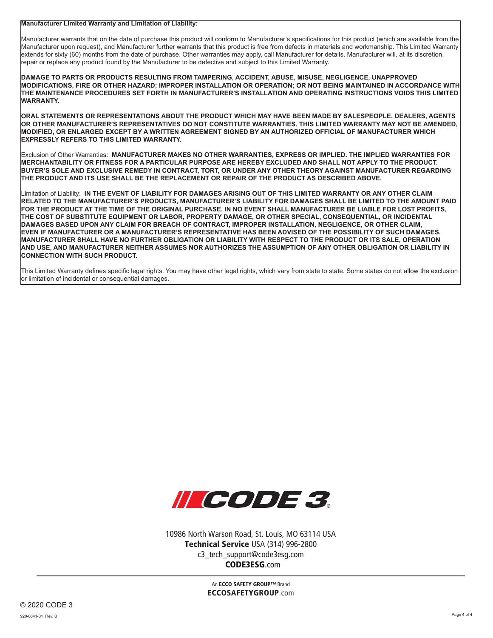**Manufacturer Limited Warranty and Limitation of Liability:**

Manufacturer warrants that on the date of purchase this product will conform to Manufacturer's specifications for this product (which are available from the Manufacturer upon request), and Manufacturer further warrants that this product is free from defects in materials and workmanship. This Limited Warranty extends for sixty (60) months from the date of purchase. Other warranties may apply, call Manufacturer for details. Manufacturer will, at its discretion, repair or replace any product found by the Manufacturer to be defective and subject to this Limited Warranty.

**DAMAGE TO PARTS OR PRODUCTS RESULTING FROM TAMPERING, ACCIDENT, ABUSE, MISUSE, NEGLIGENCE, UNAPPROVED MODIFICATIONS, FIRE OR OTHER HAZARD; IMPROPER INSTALLATION OR OPERATION; OR NOT BEING MAINTAINED IN ACCORDANCE WITH THE MAINTENANCE PROCEDURES SET FORTH IN MANUFACTURER'S INSTALLATION AND OPERATING INSTRUCTIONS VOIDS THIS LIMITED WARRANTY.**

**ORAL STATEMENTS OR REPRESENTATIONS ABOUT THE PRODUCT WHICH MAY HAVE BEEN MADE BY SALESPEOPLE, DEALERS, AGENTS OR OTHER MANUFACTURER'S REPRESENTATIVES DO NOT CONSTITUTE WARRANTIES. THIS LIMITED WARRANTY MAY NOT BE AMENDED, MODIFIED, OR ENLARGED EXCEPT BY A WRITTEN AGREEMENT SIGNED BY AN AUTHORIZED OFFICIAL OF MANUFACTURER WHICH EXPRESSLY REFERS TO THIS LIMITED WARRANTY.**

Exclusion of Other Warranties: **MANUFACTURER MAKES NO OTHER WARRANTIES, EXPRESS OR IMPLIED. THE IMPLIED WARRANTIES FOR MERCHANTABILITY OR FITNESS FOR A PARTICULAR PURPOSE ARE HEREBY EXCLUDED AND SHALL NOT APPLY TO THE PRODUCT. BUYER'S SOLE AND EXCLUSIVE REMEDY IN CONTRACT, TORT, OR UNDER ANY OTHER THEORY AGAINST MANUFACTURER REGARDING THE PRODUCT AND ITS USE SHALL BE THE REPLACEMENT OR REPAIR OF THE PRODUCT AS DESCRIBED ABOVE.**

Limitation of Liability: **IN THE EVENT OF LIABILITY FOR DAMAGES ARISING OUT OF THIS LIMITED WARRANTY OR ANY OTHER CLAIM RELATED TO THE MANUFACTURER'S PRODUCTS, MANUFACTURER'S LIABILITY FOR DAMAGES SHALL BE LIMITED TO THE AMOUNT PAID FOR THE PRODUCT AT THE TIME OF THE ORIGINAL PURCHASE. IN NO EVENT SHALL MANUFACTURER BE LIABLE FOR LOST PROFITS, THE COST OF SUBSTITUTE EQUIPMENT OR LABOR, PROPERTY DAMAGE, OR OTHER SPECIAL, CONSEQUENTIAL, OR INCIDENTAL DAMAGES BASED UPON ANY CLAIM FOR BREACH OF CONTRACT, IMPROPER INSTALLATION, NEGLIGENCE, OR OTHER CLAIM, EVEN IF MANUFACTURER OR A MANUFACTURER'S REPRESENTATIVE HAS BEEN ADVISED OF THE POSSIBILITY OF SUCH DAMAGES. MANUFACTURER SHALL HAVE NO FURTHER OBLIGATION OR LIABILITY WITH RESPECT TO THE PRODUCT OR ITS SALE, OPERATION AND USE, AND MANUFACTURER NEITHER ASSUMES NOR AUTHORIZES THE ASSUMPTION OF ANY OTHER OBLIGATION OR LIABILITY IN CONNECTION WITH SUCH PRODUCT.**

This Limited Warranty defines specific legal rights. You may have other legal rights, which vary from state to state. Some states do not allow the exclusion or limitation of incidental or consequential damages.



10986 North Warson Road, St. Louis, MO 63114 USA Technical Service USA (314) 996-2800 c3\_tech\_support@code3esg.com CODE3ESG.com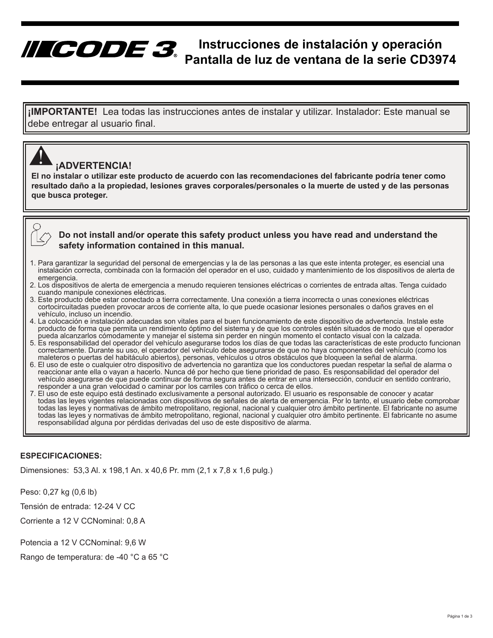# **Instrucciones de instalación y operación Pantalla de luz de ventana de la serie CD3974**

**¡IMPORTANTE!** Lea todas las instrucciones antes de instalar y utilizar. Instalador: Este manual se debe entregar al usuario final.

## **¡ADVERTENCIA!**

<u>|</u>

**El no instalar o utilizar este producto de acuerdo con las recomendaciones del fabricante podría tener como resultado daño a la propiedad, lesiones graves corporales/personales o la muerte de usted y de las personas que busca proteger.**

### **Do not install and/or operate this safety product unless you have read and understand the safety information contained in this manual.**

- 1. Para garantizar la seguridad del personal de emergencias y la de las personas a las que este intenta proteger, es esencial una instalación correcta, combinada con la formación del operador en el uso, cuidado y mantenimiento de los dispositivos de alerta de emergencia.
- 2. Los dispositivos de alerta de emergencia a menudo requieren tensiones eléctricas o corrientes de entrada altas. Tenga cuidado cuando manipule conexiones eléctricas.
- 3. Este producto debe estar conectado a tierra correctamente. Una conexión a tierra incorrecta o unas conexiones eléctricas cortocircuitadas pueden provocar arcos de corriente alta, lo que puede ocasionar lesiones personales o daños graves en el vehículo, incluso un incendio.
- 4. La colocación e instalación adecuadas son vitales para el buen funcionamiento de este dispositivo de advertencia. Instale este producto de forma que permita un rendimiento óptimo del sistema y de que los controles estén situados de modo que el operador pueda alcanzarlos cómodamente y manejar el sistema sin perder en ningún momento el contacto visual con la calzada.
- 5. Es responsabilidad del operador del vehículo asegurarse todos los días de que todas las características de este producto funcionan correctamente. Durante su uso, el operador del vehículo debe asegurarse de que no haya componentes del vehículo (como los maleteros o puertas del habitáculo abiertos), personas, vehículos u otros obstáculos que bloqueen la señal de alarma.
- 6. El uso de este o cualquier otro dispositivo de advertencia no garantiza que los conductores puedan respetar la señal de alarma o reaccionar ante ella o vayan a hacerlo. Nunca dé por hecho que tiene prioridad de paso. Es responsabilidad del operador del vehículo asegurarse de que puede continuar de forma segura antes de entrar en una intersección, conducir en sentido contrario, responder a una gran velocidad o caminar por los carriles con tráfico o cerca de ellos.
- 7. El uso de este equipo está destinado exclusivamente a personal autorizado. El usuario es responsable de conocer y acatar todas las leyes vigentes relacionadas con dispositivos de señales de alerta de emergencia. Por lo tanto, el usuario debe comprobar todas las leyes y normativas de ámbito metropolitano, regional, nacional y cualquier otro ámbito pertinente. El fabricante no asume todas las leyes y normativas de ámbito metropolitano, regional, nacional y cualquier otro ámbito pertinente. El fabricante no asume responsabilidad alguna por pérdidas derivadas del uso de este dispositivo de alarma.

#### **ESPECIFICACIONES:**

Dimensiones: 53,3 Al. x 198,1 An. x 40,6 Pr. mm (2,1 x 7,8 x 1,6 pulg.)

Peso: 0,27 kg (0,6 lb)

Tensión de entrada: 12-24 V CC

Corriente a 12 V CCNominal: 0,8 A

Potencia a 12 V CCNominal: 9,6 W

Rango de temperatura: de -40 °C a 65 °C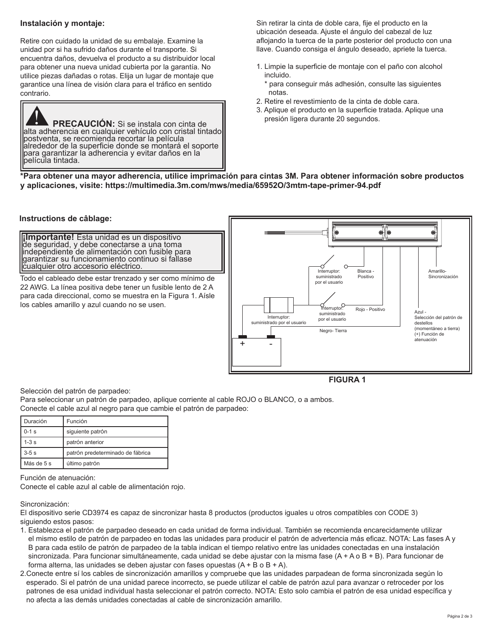#### **Instalación y montaje:**

Retire con cuidado la unidad de su embalaje. Examine la unidad por si ha sufrido daños durante el transporte. Si encuentra daños, devuelva el producto a su distribuidor local para obtener una nueva unidad cubierta por la garantía. No utilice piezas dañadas o rotas. Elija un lugar de montaje que garantice una línea de visión clara para el tráfico en sentido contrario.



Sin retirar la cinta de doble cara, fije el producto en la ubicación deseada. Ajuste el ángulo del cabezal de luz aflojando la tuerca de la parte posterior del producto con una llave. Cuando consiga el ángulo deseado, apriete la tuerca.

- 1. Limpie la superficie de montaje con el paño con alcohol incluido.
	- \* para conseguir más adhesión, consulte las siguientes notas.
- 2. Retire el revestimiento de la cinta de doble cara.
- 3. Aplique el producto en la superficie tratada. Aplique una presión ligera durante 20 segundos.

**\*Para obtener una mayor adherencia, utilice imprimación para cintas 3M. Para obtener información sobre productos y aplicaciones, visite: https://multimedia.3m.com/mws/media/65952O/3mtm-tape-primer-94.pdf**

#### **Instructions de câblage:**

**¡Importante!** Esta unidad es un dispositivo<br>de seguridad, y debe conectarse a una toma independiente de alimentación con fusible para garantizar su funcionamiento continuo si fallase cualquier otro accesorio eléctrico.

Todo el cableado debe estar trenzado y ser como mínimo de 22 AWG. La línea positiva debe tener un fusible lento de 2 A para cada direccional, como se muestra en la Figura 1. Aísle los cables amarillo y azul cuando no se usen.



**FIGURA 1**

Selección del patrón de parpadeo:

Para seleccionar un patrón de parpadeo, aplique corriente al cable ROJO o BLANCO, o a ambos. Conecte el cable azul al negro para que cambie el patrón de parpadeo:

| Duración   | Función                          |
|------------|----------------------------------|
| $0-1$ s    | siquiente patrón                 |
| $1-3s$     | patrón anterior                  |
| $3-5s$     | patrón predeterminado de fábrica |
| Más de 5 s | último patrón                    |

Función de atenuación:

Conecte el cable azul al cable de alimentación rojo.

Sincronización:

El dispositivo serie CD3974 es capaz de sincronizar hasta 8 productos (productos iguales u otros compatibles con CODE 3) siguiendo estos pasos:

- 1. Establezca el patrón de parpadeo deseado en cada unidad de forma individual. También se recomienda encarecidamente utilizar el mismo estilo de patrón de parpadeo en todas las unidades para producir el patrón de advertencia más eficaz. NOTA: Las fases A y B para cada estilo de patrón de parpadeo de la tabla indican el tiempo relativo entre las unidades conectadas en una instalación sincronizada. Para funcionar simultáneamente, cada unidad se debe ajustar con la misma fase (A + A o B + B). Para funcionar de forma alterna, las unidades se deben ajustar con fases opuestas  $(A + B \circ B + A)$ .
- 2.Conecte entre sí los cables de sincronización amarillos y compruebe que las unidades parpadean de forma sincronizada según lo esperado. Si el patrón de una unidad parece incorrecto, se puede utilizar el cable de patrón azul para avanzar o retroceder por los patrones de esa unidad individual hasta seleccionar el patrón correcto. NOTA: Esto solo cambia el patrón de esa unidad específica y no afecta a las demás unidades conectadas al cable de sincronización amarillo.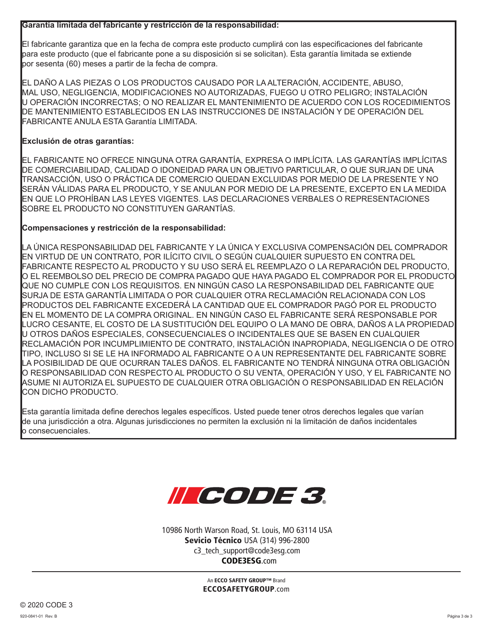#### **Garantía limitada del fabricante y restricción de la responsabilidad:**

El fabricante garantiza que en la fecha de compra este producto cumplirá con las especificaciones del fabricante para este producto (que el fabricante pone a su disposición si se solicitan). Esta garantía limitada se extiende por sesenta (60) meses a partir de la fecha de compra.

EL DAÑO A LAS PIEZAS O LOS PRODUCTOS CAUSADO POR LA ALTERACIÓN, ACCIDENTE, ABUSO, MAL USO, NEGLIGENCIA, MODIFICACIONES NO AUTORIZADAS, FUEGO U OTRO PELIGRO; INSTALACIÓN U OPERACIÓN INCORRECTAS; O NO REALIZAR EL MANTENIMIENTO DE ACUERDO CON LOS ROCEDIMIENTOS DE MANTENIMIENTO ESTABLECIDOS EN LAS INSTRUCCIONES DE INSTALACIÓN Y DE OPERACIÓN DEL FABRICANTE ANULA ESTA Garantía LIMITADA.

### **Exclusión de otras garantías:**

EL FABRICANTE NO OFRECE NINGUNA OTRA GARANTÍA, EXPRESA O IMPLÍCITA. LAS GARANTÍAS IMPLÍCITAS DE COMERCIABILIDAD, CALIDAD O IDONEIDAD PARA UN OBJETIVO PARTICULAR, O QUE SURJAN DE UNA TRANSACCIÓN, USO O PRÁCTICA DE COMERCIO QUEDAN EXCLUIDAS POR MEDIO DE LA PRESENTE Y NO SERÁN VÁLIDAS PARA EL PRODUCTO, Y SE ANULAN POR MEDIO DE LA PRESENTE, EXCEPTO EN LA MEDIDA EN QUE LO PROHÍBAN LAS LEYES VIGENTES. LAS DECLARACIONES VERBALES O REPRESENTACIONES SOBRE EL PRODUCTO NO CONSTITUYEN GARANTÍAS.

### **Compensaciones y restricción de la responsabilidad:**

LA ÚNICA RESPONSABILIDAD DEL FABRICANTE Y LA ÚNICA Y EXCLUSIVA COMPENSACIÓN DEL COMPRADOR EN VIRTUD DE UN CONTRATO, POR ILÍCITO CIVIL O SEGÚN CUALQUIER SUPUESTO EN CONTRA DEL FABRICANTE RESPECTO AL PRODUCTO Y SU USO SERÁ EL REEMPLAZO O LA REPARACIÓN DEL PRODUCTO, O EL REEMBOLSO DEL PRECIO DE COMPRA PAGADO QUE HAYA PAGADO EL COMPRADOR POR EL PRODUCTO QUE NO CUMPLE CON LOS REQUISITOS. EN NINGÚN CASO LA RESPONSABILIDAD DEL FABRICANTE QUE SURJA DE ESTA GARANTÍA LIMITADA O POR CUALQUIER OTRA RECLAMACIÓN RELACIONADA CON LOS PRODUCTOS DEL FABRICANTE EXCEDERÁ LA CANTIDAD QUE EL COMPRADOR PAGÓ POR EL PRODUCTO EN EL MOMENTO DE LA COMPRA ORIGINAL. EN NINGÚN CASO EL FABRICANTE SERÁ RESPONSABLE POR LUCRO CESANTE, EL COSTO DE LA SUSTITUCIÓN DEL EQUIPO O LA MANO DE OBRA, DAÑOS A LA PROPIEDAD U OTROS DAÑOS ESPECIALES, CONSECUENCIALES O INCIDENTALES QUE SE BASEN EN CUALQUIER RECLAMACIÓN POR INCUMPLIMIENTO DE CONTRATO, INSTALACIÓN INAPROPIADA, NEGLIGENCIA O DE OTRO TIPO, INCLUSO SI SE LE HA INFORMADO AL FABRICANTE O A UN REPRESENTANTE DEL FABRICANTE SOBRE LA POSIBILIDAD DE QUE OCURRAN TALES DAÑOS. EL FABRICANTE NO TENDRÁ NINGUNA OTRA OBLIGACIÓN O RESPONSABILIDAD CON RESPECTO AL PRODUCTO O SU VENTA, OPERACIÓN Y USO, Y EL FABRICANTE NO ASUME NI AUTORIZA EL SUPUESTO DE CUALQUIER OTRA OBLIGACIÓN O RESPONSABILIDAD EN RELACIÓN CON DICHO PRODUCTO.

Esta garantía limitada define derechos legales específicos. Usted puede tener otros derechos legales que varían de una jurisdicción a otra. Algunas jurisdicciones no permiten la exclusión ni la limitación de daños incidentales o consecuenciales.



10986 North Warson Road, St. Louis, MO 63114 USA Sevicio Técnico USA (314) 996-2800 c3\_tech\_support@code3esg.com CODE3ESG.com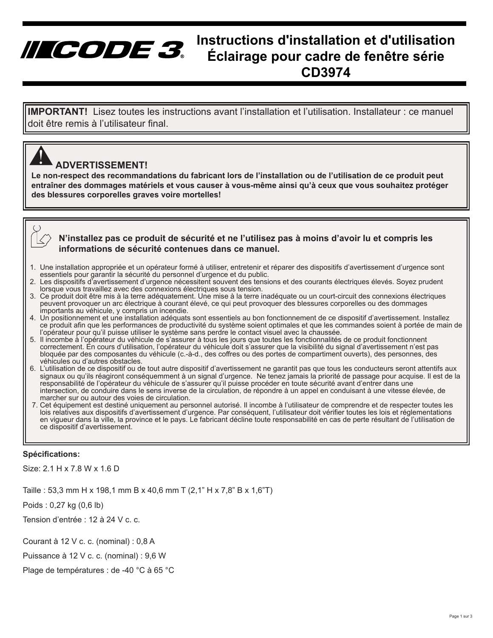# **Instructions d'installation et d'utilisation Éclairage pour cadre de fenêtre série CD3974**

**IMPORTANT!** Lisez toutes les instructions avant l'installation et l'utilisation. Installateur : ce manuel doit être remis à l'utilisateur final.

## **ADVERTISSEMENT!**

IICODE 3.

<u>|</u>

**Le non-respect des recommandations du fabricant lors de l'installation ou de l'utilisation de ce produit peut entraîner des dommages matériels et vous causer à vous-même ainsi qu'à ceux que vous souhaitez protéger des blessures corporelles graves voire mortelles!**

#### **N'installez pas ce produit de sécurité et ne l'utilisez pas à moins d'avoir lu et compris les informations de sécurité contenues dans ce manuel.**

- 1. Une installation appropriée et un opérateur formé à utiliser, entretenir et réparer des dispositifs d'avertissement d'urgence sont essentiels pour garantir la sécurité du personnel d'urgence et du public.
- 2. Les dispositifs d'avertissement d'urgence nécessitent souvent des tensions et des courants électriques élevés. Soyez prudent lorsque vous travaillez avec des connexions électriques sous tension.
- 3. Ce produit doit être mis à la terre adéquatement. Une mise à la terre inadéquate ou un court-circuit des connexions électriques peuvent provoquer un arc électrique à courant élevé, ce qui peut provoquer des blessures corporelles ou des dommages importants au véhicule, y compris un incendie.
- 4. Un positionnement et une installation adéquats sont essentiels au bon fonctionnement de ce dispositif d'avertissement. Installez ce produit afin que les performances de productivité du système soient optimales et que les commandes soient à portée de main de l'opérateur pour qu'il puisse utiliser le système sans perdre le contact visuel avec la chaussée.
- 5. Il incombe à l'opérateur du véhicule de s'assurer à tous les jours que toutes les fonctionnalités de ce produit fonctionnent correctement. En cours d'utilisation, l'opérateur du véhicule doit s'assurer que la visibilité du signal d'avertissement n'est pas bloquée par des composantes du véhicule (c.-à-d., des coffres ou des portes de compartiment ouverts), des personnes, des véhicules ou d'autres obstacles.
- 6. L'utilisation de ce dispositif ou de tout autre dispositif d'avertissement ne garantit pas que tous les conducteurs seront attentifs aux signaux ou qu'ils réagiront conséquemment à un signal d'urgence. Ne tenez jamais la priorité de passage pour acquise. Il est de la responsabilité de l'opérateur du véhicule de s'assurer qu'il puisse procéder en toute sécurité avant d'entrer dans une intersection, de conduire dans le sens inverse de la circulation, de répondre à un appel en conduisant à une vitesse élevée, de marcher sur ou autour des voies de circulation.
- 7. Cet équipement est destiné uniquement au personnel autorisé. Il incombe à l'utilisateur de comprendre et de respecter toutes les lois relatives aux dispositifs d'avertissement d'urgence. Par conséquent, l'utilisateur doit vérifier toutes les lois et réglementations en vigueur dans la ville, la province et le pays. Le fabricant décline toute responsabilité en cas de perte résultant de l'utilisation de ce dispositif d'avertissement.

#### **Spécifications:**

Size: 2.1 H x 7.8 W x 1.6 D

Taille : 53,3 mm H x 198,1 mm B x 40,6 mm T (2,1" H x 7,8" B x 1,6"T)

Poids : 0,27 kg (0,6 lb)

Tension d'entrée : 12 à 24 V c. c.

Courant à 12 V c. c. (nominal) : 0,8 A

Puissance à 12 V c. c. (nominal) : 9,6 W

Plage de températures : de -40 °C à 65 °C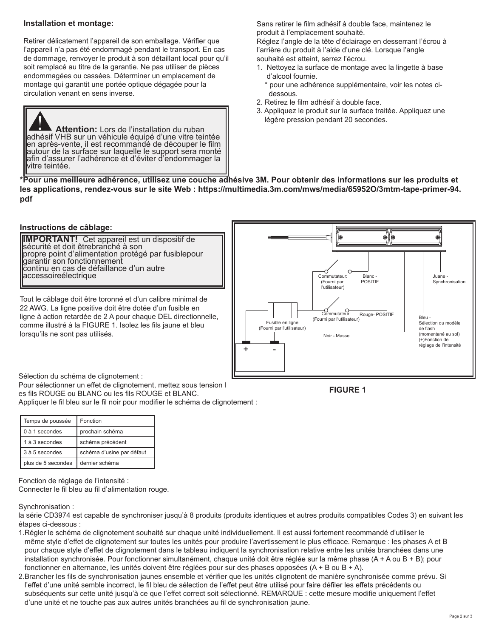#### **Installation et montage:**

Retirer délicatement l'appareil de son emballage. Vérifier que l'appareil n'a pas été endommagé pendant le transport. En cas de dommage, renvoyer le produit à son détaillant local pour qu'il soit remplacé au titre de la garantie. Ne pas utiliser de pièces endommagées ou cassées. Déterminer un emplacement de montage qui garantit une portée optique dégagée pour la circulation venant en sens inverse.

Attention: Lors de l'installation du ruban adhésif VHB sur un véhicule équipé d'une vitre teintée en après-vente, il est recommandé de découper le film autour de la surface sur laquelle le support sera monté afin d'assurer l'adhérence et d'éviter d'endommager la vitre teintée.

Sans retirer le film adhésif à double face, maintenez le produit à l'emplacement souhaité.

Réglez l'angle de la tête d'éclairage en desserrant l'écrou à l'arrière du produit à l'aide d'une clé. Lorsque l'angle souhaité est atteint, serrez l'écrou.

- 1. Nettoyez la surface de montage avec la lingette à base d'alcool fournie.
	- \* pour une adhérence supplémentaire, voir les notes ci dessous.
- 2. Retirez le film adhésif à double face.
- 3. Appliquez le produit sur la surface traitée. Appliquez une légère pression pendant 20 secondes.

**\*Pour une meilleure adhérence, utilisez une couche adhésive 3M. Pour obtenir des informations sur les produits et les applications, rendez-vous sur le site Web : https://multimedia.3m.com/mws/media/65952O/3mtm-tape-primer-94. pdf**

## **Instructions de câblage:**

**IMPORTANT!** Cet appareil est un dispositif de<br>sécurité et doit êtrebranché à son propre point d'alimentation protégé par fusiblepour garantir son fonctionnement continu en cas de défaillance d'un autre accessoireélectrique

Tout le câblage doit être toronné et d'un calibre minimal de 22 AWG. La ligne positive doit être dotée d'un fusible en ligne à action retardée de 2 A pour chaque DEL directionnelle, comme illustré à la FIGURE 1. Isolez les fils jaune et bleu lorsqu'ils ne sont pas utilisés.



Sélection du schéma de clignotement :

Pour sélectionner un effet de clignotement, mettez sous tension l es fils ROUGE ou BLANC ou les fils ROUGE et BLANC. Appliquer le fil bleu sur le fil noir pour modifier le schéma de clignotement :

| Temps de poussée   | Fonction                  |
|--------------------|---------------------------|
| 0 à 1 secondes     | prochain schéma           |
| 1 à 3 secondes     | schéma précédent          |
| 3 à 5 secondes     | schéma d'usine par défaut |
| plus de 5 secondes | dernier schéma            |

Fonction de réglage de l'intensité :

Connecter le fil bleu au fil d'alimentation rouge.

Synchronisation :

la série CD3974 est capable de synchroniser jusqu'à 8 produits (produits identiques et autres produits compatibles Codes 3) en suivant les étapes ci-dessous :

- 1.Régler le schéma de clignotement souhaité sur chaque unité individuellement. Il est aussi fortement recommandé d'utiliser le même style d'effet de clignotement sur toutes les unités pour produire l'avertissement le plus efficace. Remarque : les phases A et B pour chaque style d'effet de clignotement dans le tableau indiquent la synchronisation relative entre les unités branchées dans une installation synchronisée. Pour fonctionner simultanément, chaque unité doit être réglée sur la même phase (A + A ou B + B); pour fonctionner en alternance, les unités doivent être réglées pour sur des phases opposées (A + B ou B + A).
- 2.Brancher les fils de synchronisation jaunes ensemble et vérifier que les unités clignotent de manière synchronisée comme prévu. Si l'effet d'une unité semble incorrect, le fil bleu de sélection de l'effet peut être utilisé pour faire défiler les effets précédents ou subséquents sur cette unité jusqu'à ce que l'effet correct soit sélectionné. REMARQUE : cette mesure modifie uniquement l'effet d'une unité et ne touche pas aux autres unités branchées au fil de synchronisation jaune.

**FIGURE 1**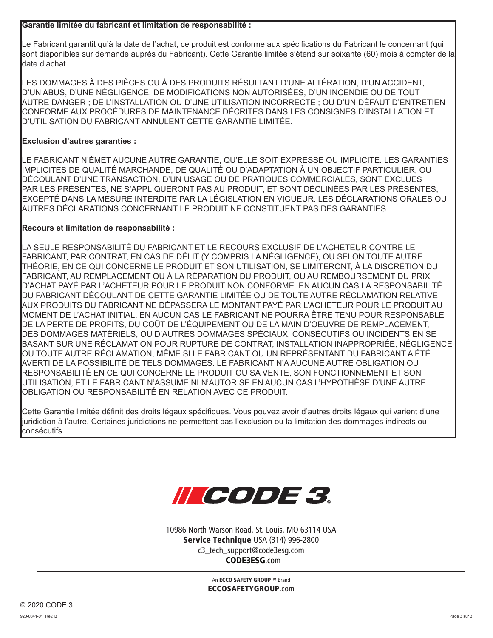#### **Garantie limitée du fabricant et limitation de responsabilité :**

Le Fabricant garantit qu'à la date de l'achat, ce produit est conforme aux spécifications du Fabricant le concernant (qui sont disponibles sur demande auprès du Fabricant). Cette Garantie limitée s'étend sur soixante (60) mois à compter de la date d'achat.

LES DOMMAGES À DES PIÈCES OU À DES PRODUITS RÉSULTANT D'UNE ALTÉRATION, D'UN ACCIDENT, D'UN ABUS, D'UNE NÉGLIGENCE, DE MODIFICATIONS NON AUTORISÉES, D'UN INCENDIE OU DE TOUT AUTRE DANGER ; DE L'INSTALLATION OU D'UNE UTILISATION INCORRECTE ; OU D'UN DÉFAUT D'ENTRETIEN CONFORME AUX PROCÉDURES DE MAINTENANCE DÉCRITES DANS LES CONSIGNES D'INSTALLATION ET D'UTILISATION DU FABRICANT ANNULENT CETTE GARANTIE LIMITÉE.

### **Exclusion d'autres garanties :**

LE FABRICANT N'ÉMET AUCUNE AUTRE GARANTIE, QU'ELLE SOIT EXPRESSE OU IMPLICITE. LES GARANTIES IMPLICITES DE QUALITÉ MARCHANDE, DE QUALITÉ OU D'ADAPTATION À UN OBJECTIF PARTICULIER, OU DÉCOULANT D'UNE TRANSACTION, D'UN USAGE OU DE PRATIQUES COMMERCIALES, SONT EXCLUES PAR LES PRÉSENTES, NE S'APPLIQUERONT PAS AU PRODUIT, ET SONT DÉCLINÉES PAR LES PRÉSENTES, EXCEPTÉ DANS LA MESURE INTERDITE PAR LA LÉGISLATION EN VIGUEUR. LES DÉCLARATIONS ORALES OU AUTRES DÉCLARATIONS CONCERNANT LE PRODUIT NE CONSTITUENT PAS DES GARANTIES.

### **Recours et limitation de responsabilité :**

LA SEULE RESPONSABILITÉ DU FABRICANT ET LE RECOURS EXCLUSIF DE L'ACHETEUR CONTRE LE FABRICANT, PAR CONTRAT, EN CAS DE DÉLIT (Y COMPRIS LA NÉGLIGENCE), OU SELON TOUTE AUTRE THÉORIE, EN CE QUI CONCERNE LE PRODUIT ET SON UTILISATION, SE LIMITERONT, À LA DISCRÉTION DU FABRICANT, AU REMPLACEMENT OU À LA RÉPARATION DU PRODUIT, OU AU REMBOURSEMENT DU PRIX D'ACHAT PAYÉ PAR L'ACHETEUR POUR LE PRODUIT NON CONFORME. EN AUCUN CAS LA RESPONSABILITÉ DU FABRICANT DÉCOULANT DE CETTE GARANTIE LIMITÉE OU DE TOUTE AUTRE RÉCLAMATION RELATIVE AUX PRODUITS DU FABRICANT NE DÉPASSERA LE MONTANT PAYÉ PAR L'ACHETEUR POUR LE PRODUIT AU MOMENT DE L'ACHAT INITIAL. EN AUCUN CAS LE FABRICANT NE POURRA ÊTRE TENU POUR RESPONSABLE DE LA PERTE DE PROFITS, DU COÛT DE L'ÉQUIPEMENT OU DE LA MAIN D'OEUVRE DE REMPLACEMENT, DES DOMMAGES MATÉRIELS, OU D'AUTRES DOMMAGES SPÉCIAUX, CONSÉCUTIFS OU INCIDENTS EN SE BASANT SUR UNE RÉCLAMATION POUR RUPTURE DE CONTRAT, INSTALLATION INAPPROPRIÉE, NÉGLIGENCE OU TOUTE AUTRE RÉCLAMATION, MÊME SI LE FABRICANT OU UN REPRÉSENTANT DU FABRICANT A ÉTÉ AVERTI DE LA POSSIBILITÉ DE TELS DOMMAGES. LE FABRICANT N'A AUCUNE AUTRE OBLIGATION OU RESPONSABILITÉ EN CE QUI CONCERNE LE PRODUIT OU SA VENTE, SON FONCTIONNEMENT ET SON UTILISATION, ET LE FABRICANT N'ASSUME NI N'AUTORISE EN AUCUN CAS L'HYPOTHÈSE D'UNE AUTRE OBLIGATION OU RESPONSABILITÉ EN RELATION AVEC CE PRODUIT.

Cette Garantie limitée définit des droits légaux spécifiques. Vous pouvez avoir d'autres droits légaux qui varient d'une juridiction à l'autre. Certaines juridictions ne permettent pas l'exclusion ou la limitation des dommages indirects ou consécutifs.



10986 North Warson Road, St. Louis, MO 63114 USA Service Technique USA (314) 996-2800 c3\_tech\_support@code3esg.com CODE3ESG.com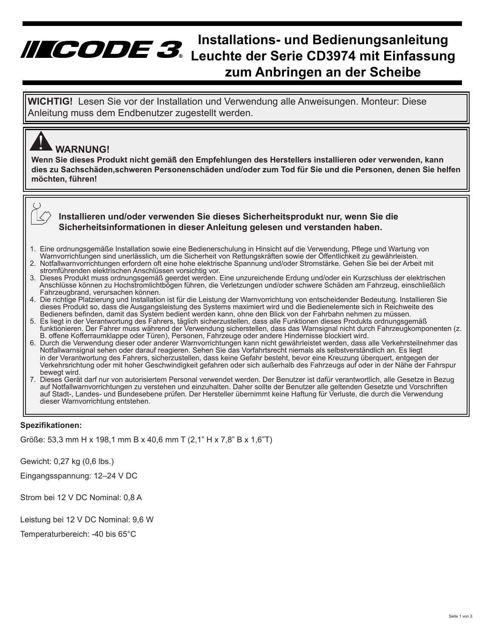# **Installations- und Bedienungsanleitung Leuchte der Serie CD3974 mit Einfassung zum Anbringen an der Scheibe**

**WICHTIG!** Lesen Sie vor der Installation und Verwendung alle Anweisungen. Monteur: Diese Anleitung muss dem Endbenutzer zugestellt werden.

## **WARNUNG!** <u>|</u>

**Wenn Sie dieses Produkt nicht gemäß den Empfehlungen des Herstellers installieren oder verwenden, kann dies zu Sachschäden,schweren Personenschäden und/oder zum Tod für Sie und die Personen, denen Sie helfen möchten, führen!**

### **Installieren und/oder verwenden Sie dieses Sicherheitsprodukt nur, wenn Sie die Sicherheitsinformationen in dieser Anleitung gelesen und verstanden haben.**

- 1. Eine ordnungsgemäße Installation sowie eine Bedienerschulung in Hinsicht auf die Verwendung, Pflege und Wartung von Warnvorrichtungen sind unerlässlich, um die Sicherheit von Rettungskräften sowie der Öffentlichkeit zu gewährleisten.
- 2. Notfallwarnvorrichtungen erfordern oft eine hohe elektrische Spannung und/oder Stromstärke. Gehen Sie bei der Arbeit mit stromführenden elektrischen Anschlüssen vorsichtig vor.
- 3. Dieses Produkt muss ordnungsgemäß geerdet werden. Eine unzureichende Erdung und/oder ein Kurzschluss der elektrischen Anschlüsse können zu Hochstromlichtbögen führen, die Verletzungen und/oder schwere Schäden am Fahrzeug, einschließlich Fahrzeugbrand, verursachen können.
- 4. Die richtige Platzierung und Installation ist für die Leistung der Warnvorrichtung von entscheidender Bedeutung. Installieren Sie dieses Produkt so, dass die Ausgangsleistung des Systems maximiert wird und die Bedienelemente sich in Reichweite des Bedieners befinden, damit das System bedient werden kann, ohne den Blick von der Fahrbahn nehmen zu müssen.
- 5. Es liegt in der Verantwortung des Fahrers, täglich sicherzustellen, dass alle Funktionen dieses Produkts ordnungsgemäß funktionieren. Der Fahrer muss während der Verwendung sicherstellen, dass das Warnsignal nicht durch Fahrzeugkomponenten (z. B. offene Kofferraumklappe oder Türen), Personen, Fahrzeuge oder andere Hindernisse blockiert wird.
- 6. Durch die Verwendung dieser oder anderer Warnvorrichtungen kann nicht gewährleistet werden, dass alle Verkehrsteilnehmer das Notfallwarnsignal sehen oder darauf reagieren. Sehen Sie das Vorfahrtsrecht niemals als selbstverständlich an. Es liegt in der Verantwortung des Fahrers, sicherzustellen, dass keine Gefahr besteht, bevor eine Kreuzung überquert, entgegen der Verkehrsrichtung oder mit hoher Geschwindigkeit gefahren oder sich außerhalb des Fahrzeugs auf oder in der Nähe der Fahrspur bewegt wird.
- 7. Dieses Gerät darf nur von autorisiertem Personal verwendet werden. Der Benutzer ist dafür verantwortlich, alle Gesetze in Bezug auf Notfallwarnvorrichtungen zu verstehen und einzuhalten. Daher sollte der Benutzer alle geltenden Gesetzte und Vorschriften auf Stadt-, Landes- und Bundesebene prüfen. Der Hersteller übernimmt keine Haftung für Verluste, die durch die Verwendung dieser Warnvorrichtung entstehen.

#### **Spezifikationen:**

Größe: 53,3 mm H x 198,1 mm B x 40,6 mm T (2,1" H x 7,8" B x 1,6"T)

Gewicht: 0,27 kg (0,6 lbs.)

Eingangsspannung: 12–24 V DC

Strom bei 12 V DC Nominal: 0,8 A

Leistung bei 12 V DC Nominal: 9,6 W

Temperaturbereich: -40 bis 65°C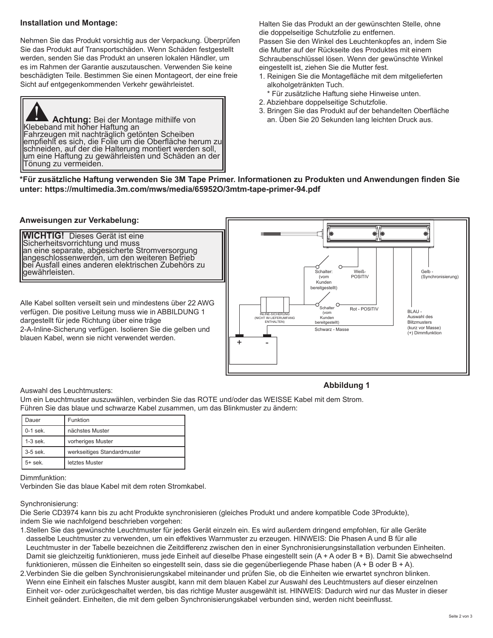#### **Installation und Montage:**

Nehmen Sie das Produkt vorsichtig aus der Verpackung. Überprüfen Sie das Produkt auf Transportschäden. Wenn Schäden festgestellt werden, senden Sie das Produkt an unseren lokalen Händler, um es im Rahmen der Garantie auszutauschen. Verwenden Sie keine beschädigten Teile. Bestimmen Sie einen Montageort, der eine freie Sicht auf entgegenkommenden Verkehr gewährleistet.

**Achtung:** Bei der Montage mithilfe von Klebeband mit hoher Haftung an Fahrzeugen mit nachträglich getönten Scheiben empfiehlt es sich, die Folie um die Oberfläche herum zu schneiden, auf der die Halterung montiert werden soll, um eine Haftung zu gewährleisten und Schäden an der Tönung zu vermeiden.

Halten Sie das Produkt an der gewünschten Stelle, ohne die doppelseitige Schutzfolie zu entfernen.

Passen Sie den Winkel des Leuchtenkopfes an, indem Sie die Mutter auf der Rückseite des Produktes mit einem Schraubenschlüssel lösen. Wenn der gewünschte Winkel eingestellt ist, ziehen Sie die Mutter fest.

- 1. Reinigen Sie die Montagefläche mit dem mitgelieferten alkoholgetränkten Tuch.
	- \* Für zusätzliche Haftung siehe Hinweise unten.
- 2. Abziehbare doppelseitige Schutzfolie.
- 3. Bringen Sie das Produkt auf der behandelten Oberfläche an. Üben Sie 20 Sekunden lang leichten Druck aus.

**\*Für zusätzliche Haftung verwenden Sie 3M Tape Primer. Informationen zu Produkten und Anwendungen finden Sie unter: https://multimedia.3m.com/mws/media/65952O/3mtm-tape-primer-94.pdf**

#### **Anweisungen zur Verkabelung:**

**WICHTIG!** Dieses Gerät ist eine Sicherheitsvorrichtung und muss an eine separate, abgesicherte Stromversorgung angeschlossenwerden, um den weiteren Betrieb bei Ausfall eines anderen elektrischen Zubehörs zu gewährleisten.

Alle Kabel sollten verseilt sein und mindestens über 22 AWG verfügen. Die positive Leitung muss wie in ABBILDUNG 1 dargestellt für jede Richtung über eine träge 2-A-Inline-Sicherung verfügen. Isolieren Sie die gelben und blauen Kabel, wenn sie nicht verwendet werden.



#### Auswahl des Leuchtmusters:

#### **Abbildung 1**

Um ein Leuchtmuster auszuwählen, verbinden Sie das ROTE und/oder das WEISSE Kabel mit dem Strom. Führen Sie das blaue und schwarze Kabel zusammen, um das Blinkmuster zu ändern:

| Dauer      | Funktion                    |  |
|------------|-----------------------------|--|
| $0-1$ sek. | nächstes Muster             |  |
| $1-3$ sek. | vorheriges Muster           |  |
| 3-5 sek.   | werkseitiges Standardmuster |  |
| $5+$ sek.  | letztes Muster              |  |

Dimmfunktion:

Verbinden Sie das blaue Kabel mit dem roten Stromkabel.

#### Synchronisierung:

Die Serie CD3974 kann bis zu acht Produkte synchronisieren (gleiches Produkt und andere kompatible Code 3Produkte), indem Sie wie nachfolgend beschrieben vorgehen:

- 1.Stellen Sie das gewünschte Leuchtmuster für jedes Gerät einzeln ein. Es wird außerdem dringend empfohlen, für alle Geräte dasselbe Leuchtmuster zu verwenden, um ein effektives Warnmuster zu erzeugen. HINWEIS: Die Phasen A und B für alle Leuchtmuster in der Tabelle bezeichnen die Zeitdifferenz zwischen den in einer Synchronisierungsinstallation verbunden Einheiten. Damit sie gleichzeitig funktionieren, muss jede Einheit auf dieselbe Phase eingestellt sein (A + A oder B + B). Damit Sie abwechselnd funktionieren, müssen die Einheiten so eingestellt sein, dass sie die gegenüberliegende Phase haben (A + B oder B + A).
- 2.Verbinden Sie die gelben Synchronisierungskabel miteinander und prüfen Sie, ob die Einheiten wie erwartet synchron blinken. Wenn eine Einheit ein falsches Muster ausgibt, kann mit dem blauen Kabel zur Auswahl des Leuchtmusters auf dieser einzelnen Einheit vor- oder zurückgeschaltet werden, bis das richtige Muster ausgewählt ist. HINWEIS: Dadurch wird nur das Muster in dieser Einheit geändert. Einheiten, die mit dem gelben Synchronisierungskabel verbunden sind, werden nicht beeinflusst.